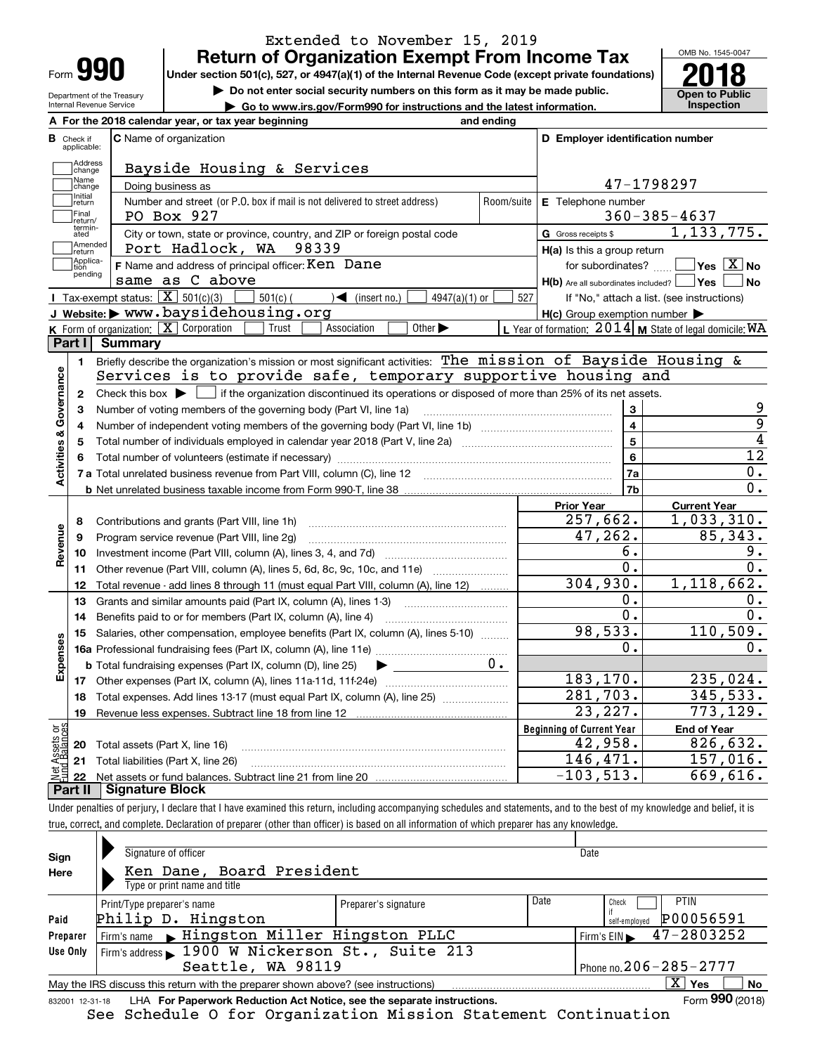| Form |  |
|------|--|

Department of the Treasury Internal Revenue Service

## **Return of Organization Exempt From Income Tax** Extended to November 15, 2019

Under section 501(c), 527, or 4947(a)(1) of the Internal Revenue Code (except private foundations) **2018** 

**| Do not enter social security numbers on this form as it may be made public.**

**| Go to www.irs.gov/Form990 for instructions and the latest information. Inspection**



|                         |                         | A For the 2018 calendar year, or tax year beginning                                                                                             | and ending |                                                     |                                                           |
|-------------------------|-------------------------|-------------------------------------------------------------------------------------------------------------------------------------------------|------------|-----------------------------------------------------|-----------------------------------------------------------|
| В                       | Check if<br>applicable: | <b>C</b> Name of organization                                                                                                                   |            | D Employer identification number                    |                                                           |
|                         | Address<br>change       | Bayside Housing & Services                                                                                                                      |            |                                                     |                                                           |
|                         | Name<br>change          | 47-1798297                                                                                                                                      |            |                                                     |                                                           |
|                         | Initial<br>return       | Doing business as<br>Number and street (or P.O. box if mail is not delivered to street address)                                                 | Room/suite | E Telephone number                                  |                                                           |
|                         | Final<br>return/        | PO Box 927                                                                                                                                      |            |                                                     | $360 - 385 - 4637$                                        |
|                         | termin-<br>ated         | City or town, state or province, country, and ZIP or foreign postal code                                                                        |            | G Gross receipts \$                                 | 1, 133, 775.                                              |
|                         | Amended<br>return       | Port Hadlock, WA 98339                                                                                                                          |            | $H(a)$ is this a group return                       |                                                           |
|                         | Applica-<br>tion        | F Name and address of principal officer: Ken Dane                                                                                               |            | for subordinates?                                   | $\overline{\ }$ Yes $\overline{\rm X}$ No                 |
|                         | pending                 | same as C above                                                                                                                                 |            | H(b) Are all subordinates included?   Yes           | ∣No                                                       |
|                         |                         | Tax-exempt status: $\boxed{\mathbf{X}}$ 501(c)(3)<br>$501(c)$ (<br>$\sum$ (insert no.)<br>4947(a)(1) or                                         | 527        |                                                     | If "No," attach a list. (see instructions)                |
|                         |                         | J Website: > www.baysidehousing.org                                                                                                             |            | $H(c)$ Group exemption number $\blacktriangleright$ |                                                           |
|                         |                         | <b>K</b> Form of organization: $\boxed{\mathbf{X}}$ Corporation<br>Association<br>Other $\blacktriangleright$<br>Trust                          |            |                                                     | L Year of formation: $2014$ M State of legal domicile: WA |
|                         | Part I                  | Summary                                                                                                                                         |            |                                                     |                                                           |
|                         | 1.                      | Briefly describe the organization's mission or most significant activities: The mission of Bayside Housing &                                    |            |                                                     |                                                           |
|                         |                         | Services is to provide safe, temporary supportive housing and                                                                                   |            |                                                     |                                                           |
|                         | $\mathbf{2}$            | Check this box $\blacktriangleright$ $\Box$ if the organization discontinued its operations or disposed of more than 25% of its net assets.     |            |                                                     |                                                           |
|                         | 3                       | Number of voting members of the governing body (Part VI, line 1a)                                                                               |            | 3                                                   | 9                                                         |
| Activities & Governance | 4                       |                                                                                                                                                 |            | $\overline{\mathbf{4}}$                             | $\overline{9}$                                            |
|                         | 5                       | Total number of individuals employed in calendar year 2018 (Part V, line 2a) manufacture controller to intervent                                |            | 5                                                   | $\overline{4}$                                            |
|                         | 6                       |                                                                                                                                                 |            | 6                                                   | $\overline{12}$                                           |
|                         |                         |                                                                                                                                                 |            | 7a                                                  | 0.                                                        |
|                         |                         |                                                                                                                                                 |            | 7 <sub>b</sub>                                      | 0.                                                        |
|                         |                         |                                                                                                                                                 |            | <b>Prior Year</b>                                   | <b>Current Year</b>                                       |
|                         | 8                       | Contributions and grants (Part VIII, line 1h)                                                                                                   |            | 257,662.                                            | 1,033,310.                                                |
| Revenue                 | 9                       | Program service revenue (Part VIII, line 2g)                                                                                                    |            | 47,262.                                             | 85, 343.                                                  |
|                         | 10                      |                                                                                                                                                 |            | б.                                                  | 9.                                                        |
|                         | 11                      | Other revenue (Part VIII, column (A), lines 5, 6d, 8c, 9c, 10c, and 11e)                                                                        |            | 0.                                                  | 0.                                                        |
|                         | 12 <sup>2</sup>         | Total revenue - add lines 8 through 11 (must equal Part VIII, column (A), line 12)                                                              |            | 304,930.                                            | 1,118,662.                                                |
|                         | 13                      | Grants and similar amounts paid (Part IX, column (A), lines 1-3)                                                                                |            | ο.                                                  | Ο.                                                        |
|                         | 14                      | Benefits paid to or for members (Part IX, column (A), line 4)                                                                                   |            | $0$ .                                               | $\overline{0}$ .                                          |
|                         | 15                      | Salaries, other compensation, employee benefits (Part IX, column (A), lines 5-10)                                                               |            | 98,533.                                             | 110, 509.                                                 |
| Expenses                |                         |                                                                                                                                                 |            | 0.                                                  | 0.                                                        |
|                         |                         | <b>b</b> Total fundraising expenses (Part IX, column (D), line 25)<br>$\blacktriangleright$ and $\blacktriangleright$ and $\blacktriangleright$ | $0 \cdot$  |                                                     |                                                           |
|                         |                         |                                                                                                                                                 |            | 183, 170.                                           | 235,024.                                                  |
|                         | 18                      | Total expenses. Add lines 13-17 (must equal Part IX, column (A), line 25) <i>marronomini</i>                                                    |            | 281,703.                                            | 345, 533.                                                 |
|                         | 19                      |                                                                                                                                                 |            | 23,227.                                             | 773, 129.                                                 |
|                         |                         |                                                                                                                                                 |            | <b>Beginning of Current Year</b>                    | <b>End of Year</b>                                        |
|                         |                         |                                                                                                                                                 |            |                                                     | 826,632.                                                  |
|                         |                         | <b>20</b> Total assets (Part X, line 16)                                                                                                        |            | 42,958.                                             |                                                           |
| ăğ<br>sets              |                         | 21 Total liabilities (Part X, line 26)                                                                                                          |            | 146, 471.<br>$-103,513.$                            | 157,016.<br>669,616.                                      |

Under penalties of perjury, I declare that I have examined this return, including accompanying schedules and statements, and to the best of my knowledge and belief, it is true, correct, and complete. Declaration of preparer (other than officer) is based on all information of which preparer has any knowledge.

|              | Signature of officer                                                                                         |                      |                              | Date                                               |  |  |  |  |  |
|--------------|--------------------------------------------------------------------------------------------------------------|----------------------|------------------------------|----------------------------------------------------|--|--|--|--|--|
| Sign<br>Here | Ken Dane, Board President<br>Type or print name and title                                                    |                      |                              |                                                    |  |  |  |  |  |
| Paid         | Print/Type preparer's name<br>Philip D. Hingston                                                             | Preparer's signature | Date                         | <b>PTIN</b><br>Check<br>P00056591<br>self-employed |  |  |  |  |  |
| Preparer     | Firm's name Fingston Miller Hingston PLLC                                                                    |                      |                              | 47-2803252<br>$Firm's EIN \blacktriangleright$     |  |  |  |  |  |
| Use Only     | Firm's address 1900 W Nickerson St., Suite 213<br>Seattle, WA 98119                                          |                      | Phone no. $206 - 285 - 2777$ |                                                    |  |  |  |  |  |
|              | $X \mid Y$ es<br>No<br>May the IRS discuss this return with the preparer shown above? (see instructions)     |                      |                              |                                                    |  |  |  |  |  |
|              | Form 990 (2018)<br>LHA For Paperwork Reduction Act Notice, see the separate instructions.<br>832001 12-31-18 |                      |                              |                                                    |  |  |  |  |  |

See Schedule O for Organization Mission Statement Continuation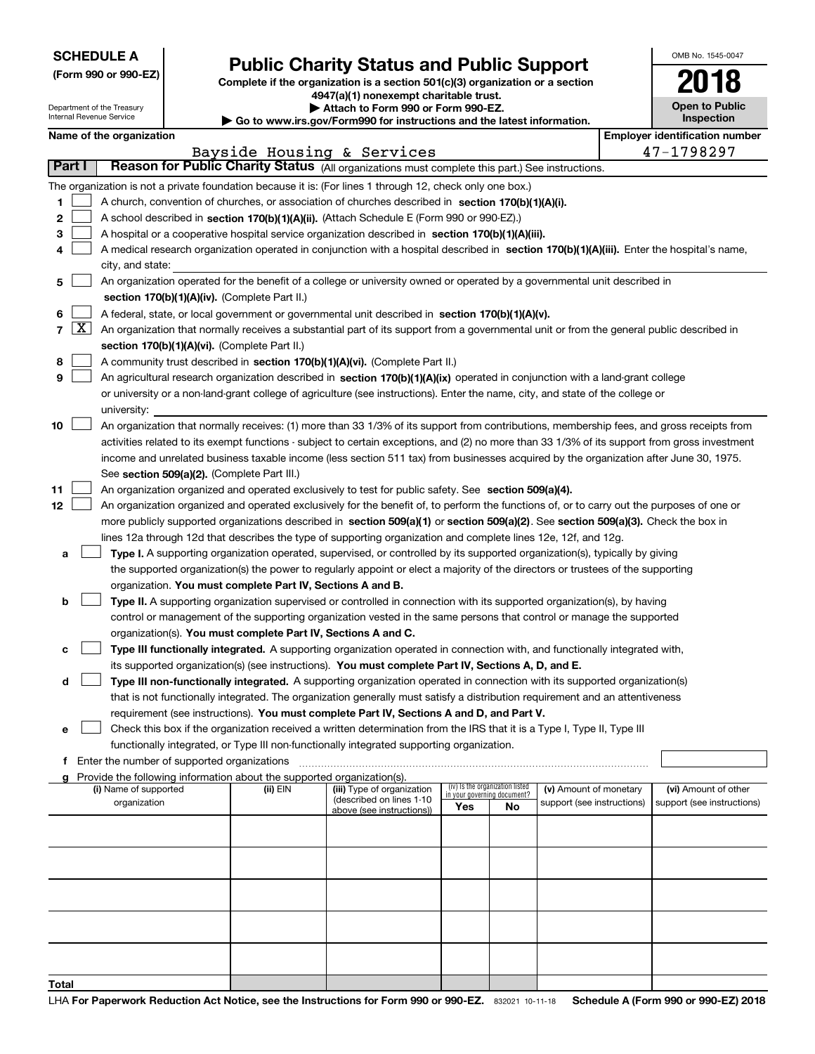| <b>SCHEDULE A</b> |  |  |  |  |  |  |
|-------------------|--|--|--|--|--|--|
|-------------------|--|--|--|--|--|--|

Department of the Treasury Internal Revenue Service

|  |  |  | (Form 990 or 990-EZ) |  |
|--|--|--|----------------------|--|
|--|--|--|----------------------|--|

# **Public Charity Status and Public Support**

**Complete if the organization is a section 501(c)(3) organization or a section 4947(a)(1) nonexempt charitable trust. | Attach to Form 990 or Form 990-EZ.** 

|  | $\blacksquare$                                                           |  |  |
|--|--------------------------------------------------------------------------|--|--|
|  | ▶ Go to www.irs.gov/Form990 for instructions and the latest information. |  |  |
|  |                                                                          |  |  |

| 2018                                |  |
|-------------------------------------|--|
| <b>Open to Public</b><br>Inspection |  |

OMB No. 1545-0047

|  | Name of the organization |
|--|--------------------------|
|  |                          |
|  |                          |

|            |                                                                                                                                            | Name of the organization                                                                                                                      |          |                                                        |                                                                |    |                            |  | <b>Employer identification number</b> |  |
|------------|--------------------------------------------------------------------------------------------------------------------------------------------|-----------------------------------------------------------------------------------------------------------------------------------------------|----------|--------------------------------------------------------|----------------------------------------------------------------|----|----------------------------|--|---------------------------------------|--|
| Part I     |                                                                                                                                            |                                                                                                                                               |          | Bayside Housing & Services                             |                                                                |    |                            |  | 47-1798297                            |  |
|            |                                                                                                                                            | Reason for Public Charity Status (All organizations must complete this part.) See instructions.                                               |          |                                                        |                                                                |    |                            |  |                                       |  |
|            |                                                                                                                                            | The organization is not a private foundation because it is: (For lines 1 through 12, check only one box.)                                     |          |                                                        |                                                                |    |                            |  |                                       |  |
| 1          |                                                                                                                                            | A church, convention of churches, or association of churches described in section 170(b)(1)(A)(i).                                            |          |                                                        |                                                                |    |                            |  |                                       |  |
| 2          |                                                                                                                                            | A school described in section 170(b)(1)(A)(ii). (Attach Schedule E (Form 990 or 990-EZ).)                                                     |          |                                                        |                                                                |    |                            |  |                                       |  |
| з          |                                                                                                                                            | A hospital or a cooperative hospital service organization described in section $170(b)(1)(A)(iii)$ .                                          |          |                                                        |                                                                |    |                            |  |                                       |  |
| 4          | A medical research organization operated in conjunction with a hospital described in section 170(b)(1)(A)(iii). Enter the hospital's name, |                                                                                                                                               |          |                                                        |                                                                |    |                            |  |                                       |  |
|            |                                                                                                                                            | city, and state:                                                                                                                              |          |                                                        |                                                                |    |                            |  |                                       |  |
| 5          |                                                                                                                                            | An organization operated for the benefit of a college or university owned or operated by a governmental unit described in                     |          |                                                        |                                                                |    |                            |  |                                       |  |
|            |                                                                                                                                            | section 170(b)(1)(A)(iv). (Complete Part II.)                                                                                                 |          |                                                        |                                                                |    |                            |  |                                       |  |
| 6          |                                                                                                                                            | A federal, state, or local government or governmental unit described in section 170(b)(1)(A)(v).                                              |          |                                                        |                                                                |    |                            |  |                                       |  |
| $7 \times$ |                                                                                                                                            | An organization that normally receives a substantial part of its support from a governmental unit or from the general public described in     |          |                                                        |                                                                |    |                            |  |                                       |  |
|            |                                                                                                                                            | section 170(b)(1)(A)(vi). (Complete Part II.)                                                                                                 |          |                                                        |                                                                |    |                            |  |                                       |  |
| 8          |                                                                                                                                            | A community trust described in section 170(b)(1)(A)(vi). (Complete Part II.)                                                                  |          |                                                        |                                                                |    |                            |  |                                       |  |
| 9          |                                                                                                                                            | An agricultural research organization described in section 170(b)(1)(A)(ix) operated in conjunction with a land-grant college                 |          |                                                        |                                                                |    |                            |  |                                       |  |
|            |                                                                                                                                            | or university or a non-land-grant college of agriculture (see instructions). Enter the name, city, and state of the college or                |          |                                                        |                                                                |    |                            |  |                                       |  |
|            |                                                                                                                                            | university:                                                                                                                                   |          |                                                        |                                                                |    |                            |  |                                       |  |
| 10         |                                                                                                                                            | An organization that normally receives: (1) more than 33 1/3% of its support from contributions, membership fees, and gross receipts from     |          |                                                        |                                                                |    |                            |  |                                       |  |
|            |                                                                                                                                            | activities related to its exempt functions - subject to certain exceptions, and (2) no more than 33 1/3% of its support from gross investment |          |                                                        |                                                                |    |                            |  |                                       |  |
|            |                                                                                                                                            | income and unrelated business taxable income (less section 511 tax) from businesses acquired by the organization after June 30, 1975.         |          |                                                        |                                                                |    |                            |  |                                       |  |
|            |                                                                                                                                            | See section 509(a)(2). (Complete Part III.)                                                                                                   |          |                                                        |                                                                |    |                            |  |                                       |  |
| 11         |                                                                                                                                            | An organization organized and operated exclusively to test for public safety. See section 509(a)(4).                                          |          |                                                        |                                                                |    |                            |  |                                       |  |
| 12         |                                                                                                                                            | An organization organized and operated exclusively for the benefit of, to perform the functions of, or to carry out the purposes of one or    |          |                                                        |                                                                |    |                            |  |                                       |  |
|            |                                                                                                                                            | more publicly supported organizations described in section 509(a)(1) or section 509(a)(2). See section 509(a)(3). Check the box in            |          |                                                        |                                                                |    |                            |  |                                       |  |
|            |                                                                                                                                            | lines 12a through 12d that describes the type of supporting organization and complete lines 12e, 12f, and 12g.                                |          |                                                        |                                                                |    |                            |  |                                       |  |
| а          |                                                                                                                                            | Type I. A supporting organization operated, supervised, or controlled by its supported organization(s), typically by giving                   |          |                                                        |                                                                |    |                            |  |                                       |  |
|            |                                                                                                                                            | the supported organization(s) the power to regularly appoint or elect a majority of the directors or trustees of the supporting               |          |                                                        |                                                                |    |                            |  |                                       |  |
|            |                                                                                                                                            | organization. You must complete Part IV, Sections A and B.                                                                                    |          |                                                        |                                                                |    |                            |  |                                       |  |
| b          |                                                                                                                                            | Type II. A supporting organization supervised or controlled in connection with its supported organization(s), by having                       |          |                                                        |                                                                |    |                            |  |                                       |  |
|            |                                                                                                                                            | control or management of the supporting organization vested in the same persons that control or manage the supported                          |          |                                                        |                                                                |    |                            |  |                                       |  |
|            |                                                                                                                                            | organization(s). You must complete Part IV, Sections A and C.                                                                                 |          |                                                        |                                                                |    |                            |  |                                       |  |
| с          |                                                                                                                                            | Type III functionally integrated. A supporting organization operated in connection with, and functionally integrated with,                    |          |                                                        |                                                                |    |                            |  |                                       |  |
|            |                                                                                                                                            | its supported organization(s) (see instructions). You must complete Part IV, Sections A, D, and E.                                            |          |                                                        |                                                                |    |                            |  |                                       |  |
| d          |                                                                                                                                            | Type III non-functionally integrated. A supporting organization operated in connection with its supported organization(s)                     |          |                                                        |                                                                |    |                            |  |                                       |  |
|            |                                                                                                                                            | that is not functionally integrated. The organization generally must satisfy a distribution requirement and an attentiveness                  |          |                                                        |                                                                |    |                            |  |                                       |  |
|            |                                                                                                                                            | requirement (see instructions). You must complete Part IV, Sections A and D, and Part V.                                                      |          |                                                        |                                                                |    |                            |  |                                       |  |
|            |                                                                                                                                            | Check this box if the organization received a written determination from the IRS that it is a Type I, Type II, Type III                       |          |                                                        |                                                                |    |                            |  |                                       |  |
|            |                                                                                                                                            | functionally integrated, or Type III non-functionally integrated supporting organization.                                                     |          |                                                        |                                                                |    |                            |  |                                       |  |
|            |                                                                                                                                            | f Enter the number of supported organizations                                                                                                 |          |                                                        |                                                                |    |                            |  |                                       |  |
|            |                                                                                                                                            | g Provide the following information about the supported organization(s).                                                                      |          |                                                        |                                                                |    |                            |  |                                       |  |
|            |                                                                                                                                            | (i) Name of supported                                                                                                                         | (ii) EIN | (iii) Type of organization<br>(described on lines 1-10 | (iv) Is the organization listed<br>in your governing document? |    | (v) Amount of monetary     |  | (vi) Amount of other                  |  |
|            |                                                                                                                                            | organization                                                                                                                                  |          | above (see instructions))                              | Yes                                                            | No | support (see instructions) |  | support (see instructions)            |  |
|            |                                                                                                                                            |                                                                                                                                               |          |                                                        |                                                                |    |                            |  |                                       |  |
|            |                                                                                                                                            |                                                                                                                                               |          |                                                        |                                                                |    |                            |  |                                       |  |
|            |                                                                                                                                            |                                                                                                                                               |          |                                                        |                                                                |    |                            |  |                                       |  |
|            |                                                                                                                                            |                                                                                                                                               |          |                                                        |                                                                |    |                            |  |                                       |  |
|            |                                                                                                                                            |                                                                                                                                               |          |                                                        |                                                                |    |                            |  |                                       |  |
|            |                                                                                                                                            |                                                                                                                                               |          |                                                        |                                                                |    |                            |  |                                       |  |
|            |                                                                                                                                            |                                                                                                                                               |          |                                                        |                                                                |    |                            |  |                                       |  |
|            |                                                                                                                                            |                                                                                                                                               |          |                                                        |                                                                |    |                            |  |                                       |  |
|            |                                                                                                                                            |                                                                                                                                               |          |                                                        |                                                                |    |                            |  |                                       |  |
|            |                                                                                                                                            |                                                                                                                                               |          |                                                        |                                                                |    |                            |  |                                       |  |
| Total      |                                                                                                                                            |                                                                                                                                               |          |                                                        |                                                                |    |                            |  |                                       |  |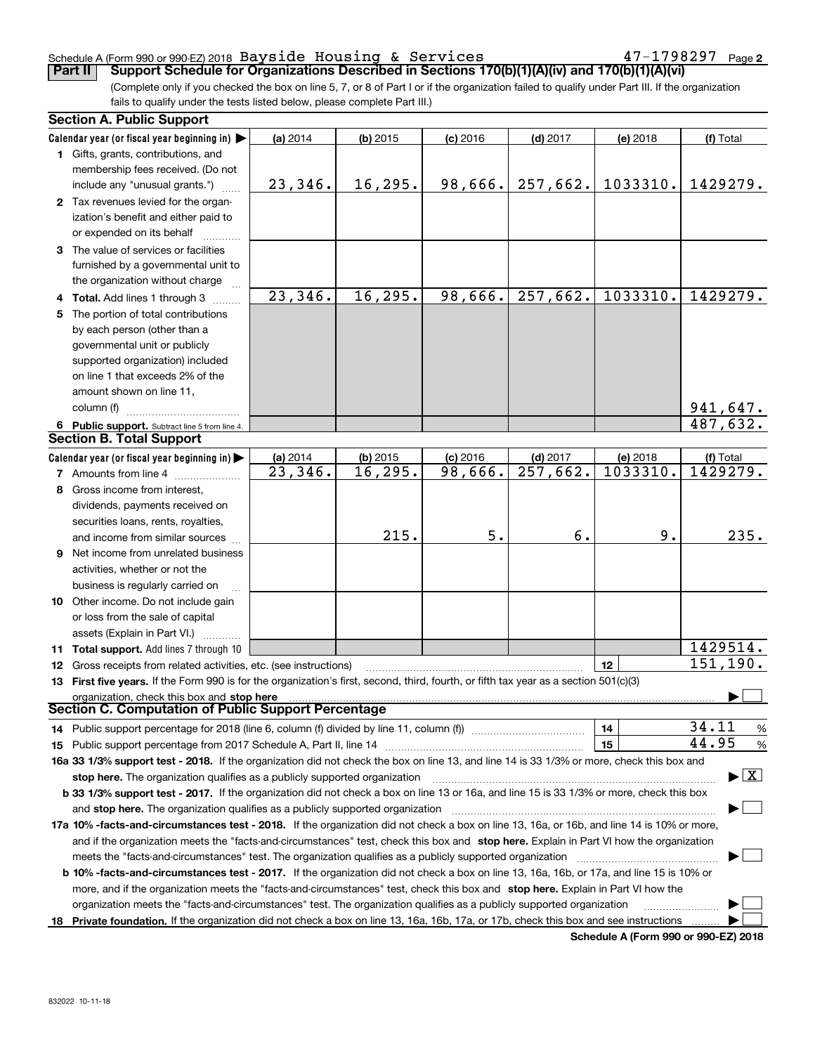#### Schedule A (Form 990 or 990-EZ) 2018 Page Bayside Housing & Services 47-1798297

**2**

(Complete only if you checked the box on line 5, 7, or 8 of Part I or if the organization failed to qualify under Part III. If the organization fails to qualify under the tests listed below, please complete Part III.) **Part II Support Schedule for Organizations Described in Sections 170(b)(1)(A)(iv) and 170(b)(1)(A)(vi)** 

| <b>Section A. Public Support</b>                                                                                                               |          |            |            |                        |          |                                          |  |
|------------------------------------------------------------------------------------------------------------------------------------------------|----------|------------|------------|------------------------|----------|------------------------------------------|--|
| Calendar year (or fiscal year beginning in) $\blacktriangleright$                                                                              | (a) 2014 | $(b)$ 2015 | $(c)$ 2016 | $(d)$ 2017             | (e) 2018 | (f) Total                                |  |
| <b>1</b> Gifts, grants, contributions, and                                                                                                     |          |            |            |                        |          |                                          |  |
| membership fees received. (Do not                                                                                                              |          |            |            |                        |          |                                          |  |
| include any "unusual grants.")                                                                                                                 | 23,346.  | 16,295.    | 98,666.    | 257,662.               | 1033310. | 1429279.                                 |  |
| 2 Tax revenues levied for the organ-                                                                                                           |          |            |            |                        |          |                                          |  |
| ization's benefit and either paid to                                                                                                           |          |            |            |                        |          |                                          |  |
| or expended on its behalf                                                                                                                      |          |            |            |                        |          |                                          |  |
| 3 The value of services or facilities                                                                                                          |          |            |            |                        |          |                                          |  |
| furnished by a governmental unit to                                                                                                            |          |            |            |                        |          |                                          |  |
| the organization without charge                                                                                                                |          |            |            |                        |          |                                          |  |
| 4 Total. Add lines 1 through 3                                                                                                                 | 23,346.  | 16, 295.   | 98,666.    | 257,662.               | 1033310. | 1429279.                                 |  |
| 5 The portion of total contributions                                                                                                           |          |            |            |                        |          |                                          |  |
| by each person (other than a                                                                                                                   |          |            |            |                        |          |                                          |  |
| governmental unit or publicly                                                                                                                  |          |            |            |                        |          |                                          |  |
| supported organization) included                                                                                                               |          |            |            |                        |          |                                          |  |
| on line 1 that exceeds 2% of the                                                                                                               |          |            |            |                        |          |                                          |  |
| amount shown on line 11,                                                                                                                       |          |            |            |                        |          |                                          |  |
| column (f)                                                                                                                                     |          |            |            |                        |          | 941,647.                                 |  |
| 6 Public support. Subtract line 5 from line 4.                                                                                                 |          |            |            |                        |          | 487,632.                                 |  |
| <b>Section B. Total Support</b>                                                                                                                |          |            |            |                        |          |                                          |  |
| Calendar year (or fiscal year beginning in)                                                                                                    | (a) 2014 | $(b)$ 2015 | $(c)$ 2016 | $(d)$ 2017             | (e) 2018 | (f) Total                                |  |
| <b>7</b> Amounts from line 4                                                                                                                   | 23,346.  | 16, 295.   | 98,666.    | $\overline{257,662}$ . | 1033310. | 1429279.                                 |  |
| 8 Gross income from interest,                                                                                                                  |          |            |            |                        |          |                                          |  |
| dividends, payments received on                                                                                                                |          |            |            |                        |          |                                          |  |
| securities loans, rents, royalties,                                                                                                            |          |            |            |                        |          |                                          |  |
| and income from similar sources                                                                                                                |          | 215.       | 5.         | б.                     | 9.       | 235.                                     |  |
| 9 Net income from unrelated business                                                                                                           |          |            |            |                        |          |                                          |  |
| activities, whether or not the                                                                                                                 |          |            |            |                        |          |                                          |  |
| business is regularly carried on                                                                                                               |          |            |            |                        |          |                                          |  |
| <b>10</b> Other income. Do not include gain                                                                                                    |          |            |            |                        |          |                                          |  |
| or loss from the sale of capital                                                                                                               |          |            |            |                        |          |                                          |  |
| assets (Explain in Part VI.)                                                                                                                   |          |            |            |                        |          |                                          |  |
| 11 Total support. Add lines 7 through 10                                                                                                       |          |            |            |                        |          | 1429514.                                 |  |
| <b>12</b> Gross receipts from related activities, etc. (see instructions)                                                                      |          |            |            |                        | 12       | 151,190.                                 |  |
| 13 First five years. If the Form 990 is for the organization's first, second, third, fourth, or fifth tax year as a section 501(c)(3)          |          |            |            |                        |          |                                          |  |
| organization, check this box and stop here<br>Section C. Computation of Public Support Percentage                                              |          |            |            |                        |          |                                          |  |
|                                                                                                                                                |          |            |            |                        |          | 34.11                                    |  |
| 14 Public support percentage for 2018 (line 6, column (f) divided by line 11, column (f) <i>mummention</i>                                     |          |            |            |                        | 14       | %<br>44.95                               |  |
|                                                                                                                                                |          |            |            |                        | 15       | %                                        |  |
| 16a 33 1/3% support test - 2018. If the organization did not check the box on line 13, and line 14 is 33 1/3% or more, check this box and      |          |            |            |                        |          | $\blacktriangleright$ $\boxed{\text{X}}$ |  |
| stop here. The organization qualifies as a publicly supported organization                                                                     |          |            |            |                        |          |                                          |  |
| b 33 1/3% support test - 2017. If the organization did not check a box on line 13 or 16a, and line 15 is 33 1/3% or more, check this box       |          |            |            |                        |          |                                          |  |
| and stop here. The organization qualifies as a publicly supported organization                                                                 |          |            |            |                        |          |                                          |  |
| 17a 10% -facts-and-circumstances test - 2018. If the organization did not check a box on line 13, 16a, or 16b, and line 14 is 10% or more,     |          |            |            |                        |          |                                          |  |
| and if the organization meets the "facts-and-circumstances" test, check this box and stop here. Explain in Part VI how the organization        |          |            |            |                        |          |                                          |  |
| meets the "facts-and-circumstances" test. The organization qualifies as a publicly supported organization                                      |          |            |            |                        |          |                                          |  |
| <b>b 10% -facts-and-circumstances test - 2017.</b> If the organization did not check a box on line 13, 16a, 16b, or 17a, and line 15 is 10% or |          |            |            |                        |          |                                          |  |
| more, and if the organization meets the "facts-and-circumstances" test, check this box and stop here. Explain in Part VI how the               |          |            |            |                        |          |                                          |  |
| organization meets the "facts-and-circumstances" test. The organization qualifies as a publicly supported organization                         |          |            |            |                        |          |                                          |  |
| 18 Private foundation. If the organization did not check a box on line 13, 16a, 16b, 17a, or 17b, check this box and see instructions          |          |            |            |                        |          |                                          |  |

**Schedule A (Form 990 or 990-EZ) 2018**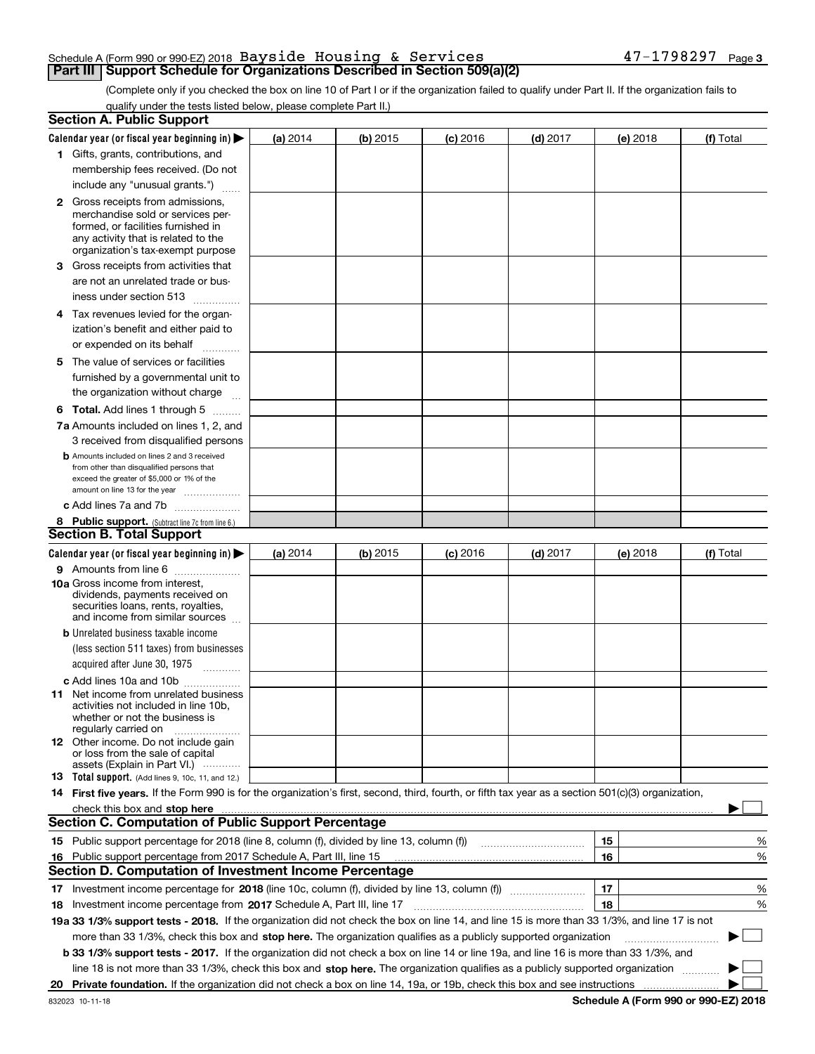#### Schedule A (Form 990 or 990-EZ) 2018 Page Bayside Housing & Services 47-1798297**Part III | Support Schedule for Organizations Described in Section 509(a)(2)**

(Complete only if you checked the box on line 10 of Part I or if the organization failed to qualify under Part II. If the organization fails to qualify under the tests listed below, please complete Part II.)

|    | <b>Section A. Public Support</b>                                                                                                                                                                                              |          |            |            |            |          |             |
|----|-------------------------------------------------------------------------------------------------------------------------------------------------------------------------------------------------------------------------------|----------|------------|------------|------------|----------|-------------|
|    | Calendar year (or fiscal year beginning in) $\blacktriangleright$                                                                                                                                                             | (a) 2014 | (b) 2015   | $(c)$ 2016 | $(d)$ 2017 | (e) 2018 | (f) Total   |
|    | 1 Gifts, grants, contributions, and                                                                                                                                                                                           |          |            |            |            |          |             |
|    | membership fees received. (Do not                                                                                                                                                                                             |          |            |            |            |          |             |
|    | include any "unusual grants.")                                                                                                                                                                                                |          |            |            |            |          |             |
|    | <b>2</b> Gross receipts from admissions,                                                                                                                                                                                      |          |            |            |            |          |             |
|    | merchandise sold or services per-                                                                                                                                                                                             |          |            |            |            |          |             |
|    | formed, or facilities furnished in                                                                                                                                                                                            |          |            |            |            |          |             |
|    | any activity that is related to the<br>organization's tax-exempt purpose                                                                                                                                                      |          |            |            |            |          |             |
|    | 3 Gross receipts from activities that                                                                                                                                                                                         |          |            |            |            |          |             |
|    | are not an unrelated trade or bus-                                                                                                                                                                                            |          |            |            |            |          |             |
|    | iness under section 513                                                                                                                                                                                                       |          |            |            |            |          |             |
|    | 4 Tax revenues levied for the organ-                                                                                                                                                                                          |          |            |            |            |          |             |
|    | ization's benefit and either paid to                                                                                                                                                                                          |          |            |            |            |          |             |
|    | or expended on its behalf                                                                                                                                                                                                     |          |            |            |            |          |             |
|    | .<br>5 The value of services or facilities                                                                                                                                                                                    |          |            |            |            |          |             |
|    | furnished by a governmental unit to                                                                                                                                                                                           |          |            |            |            |          |             |
|    | the organization without charge                                                                                                                                                                                               |          |            |            |            |          |             |
|    | <b>6 Total.</b> Add lines 1 through 5                                                                                                                                                                                         |          |            |            |            |          |             |
|    |                                                                                                                                                                                                                               |          |            |            |            |          |             |
|    | 7a Amounts included on lines 1, 2, and                                                                                                                                                                                        |          |            |            |            |          |             |
|    | 3 received from disqualified persons<br><b>b</b> Amounts included on lines 2 and 3 received                                                                                                                                   |          |            |            |            |          |             |
|    | from other than disqualified persons that                                                                                                                                                                                     |          |            |            |            |          |             |
|    | exceed the greater of \$5,000 or 1% of the                                                                                                                                                                                    |          |            |            |            |          |             |
|    | amount on line 13 for the year                                                                                                                                                                                                |          |            |            |            |          |             |
|    | c Add lines 7a and 7b                                                                                                                                                                                                         |          |            |            |            |          |             |
|    | 8 Public support. (Subtract line 7c from line 6.)<br><b>Section B. Total Support</b>                                                                                                                                          |          |            |            |            |          |             |
|    |                                                                                                                                                                                                                               |          |            |            |            |          |             |
|    | Calendar year (or fiscal year beginning in)                                                                                                                                                                                   | (a) 2014 | $(b)$ 2015 | $(c)$ 2016 | $(d)$ 2017 | (e) 2018 | (f) Total   |
|    | 9 Amounts from line 6                                                                                                                                                                                                         |          |            |            |            |          |             |
|    | <b>10a</b> Gross income from interest,<br>dividends, payments received on                                                                                                                                                     |          |            |            |            |          |             |
|    | securities loans, rents, royalties,                                                                                                                                                                                           |          |            |            |            |          |             |
|    | and income from similar sources                                                                                                                                                                                               |          |            |            |            |          |             |
|    | <b>b</b> Unrelated business taxable income                                                                                                                                                                                    |          |            |            |            |          |             |
|    | (less section 511 taxes) from businesses                                                                                                                                                                                      |          |            |            |            |          |             |
|    | acquired after June 30, 1975 [10001]                                                                                                                                                                                          |          |            |            |            |          |             |
|    | c Add lines 10a and 10b                                                                                                                                                                                                       |          |            |            |            |          |             |
|    | 11 Net income from unrelated business<br>activities not included in line 10b,                                                                                                                                                 |          |            |            |            |          |             |
|    | whether or not the business is                                                                                                                                                                                                |          |            |            |            |          |             |
|    | regularly carried on                                                                                                                                                                                                          |          |            |            |            |          |             |
|    | <b>12</b> Other income. Do not include gain<br>or loss from the sale of capital                                                                                                                                               |          |            |            |            |          |             |
|    | assets (Explain in Part VI.)                                                                                                                                                                                                  |          |            |            |            |          |             |
|    | <b>13</b> Total support. (Add lines 9, 10c, 11, and 12.)                                                                                                                                                                      |          |            |            |            |          |             |
|    | 14 First five years. If the Form 990 is for the organization's first, second, third, fourth, or fifth tax year as a section 501(c)(3) organization,                                                                           |          |            |            |            |          |             |
|    | check this box and stop here with the continuum control to the change of the state of the state of the change of the change of the change of the change of the change of the change of the change of the change of the change |          |            |            |            |          |             |
|    | <b>Section C. Computation of Public Support Percentage</b>                                                                                                                                                                    |          |            |            |            |          |             |
|    | 15 Public support percentage for 2018 (line 8, column (f), divided by line 13, column (f))                                                                                                                                    |          |            |            |            | 15       | %           |
|    | 16 Public support percentage from 2017 Schedule A, Part III, line 15                                                                                                                                                          |          |            |            |            | 16       | %           |
|    | <b>Section D. Computation of Investment Income Percentage</b>                                                                                                                                                                 |          |            |            |            |          |             |
|    | 17 Investment income percentage for 2018 (line 10c, column (f), divided by line 13, column (f))                                                                                                                               |          |            |            |            | 17       | %           |
|    | <b>18</b> Investment income percentage from <b>2017</b> Schedule A, Part III, line 17                                                                                                                                         |          |            |            |            | 18       | %           |
|    | 19a 33 1/3% support tests - 2018. If the organization did not check the box on line 14, and line 15 is more than 33 1/3%, and line 17 is not                                                                                  |          |            |            |            |          |             |
|    | more than 33 1/3%, check this box and stop here. The organization qualifies as a publicly supported organization                                                                                                              |          |            |            |            |          | $\sim$<br>▶ |
|    | b 33 1/3% support tests - 2017. If the organization did not check a box on line 14 or line 19a, and line 16 is more than 33 1/3%, and                                                                                         |          |            |            |            |          |             |
|    | line 18 is not more than 33 1/3%, check this box and stop here. The organization qualifies as a publicly supported organization                                                                                               |          |            |            |            |          |             |
| 20 |                                                                                                                                                                                                                               |          |            |            |            |          |             |
|    |                                                                                                                                                                                                                               |          |            |            |            |          |             |

**Schedule A (Form 990 or 990-EZ) 2018**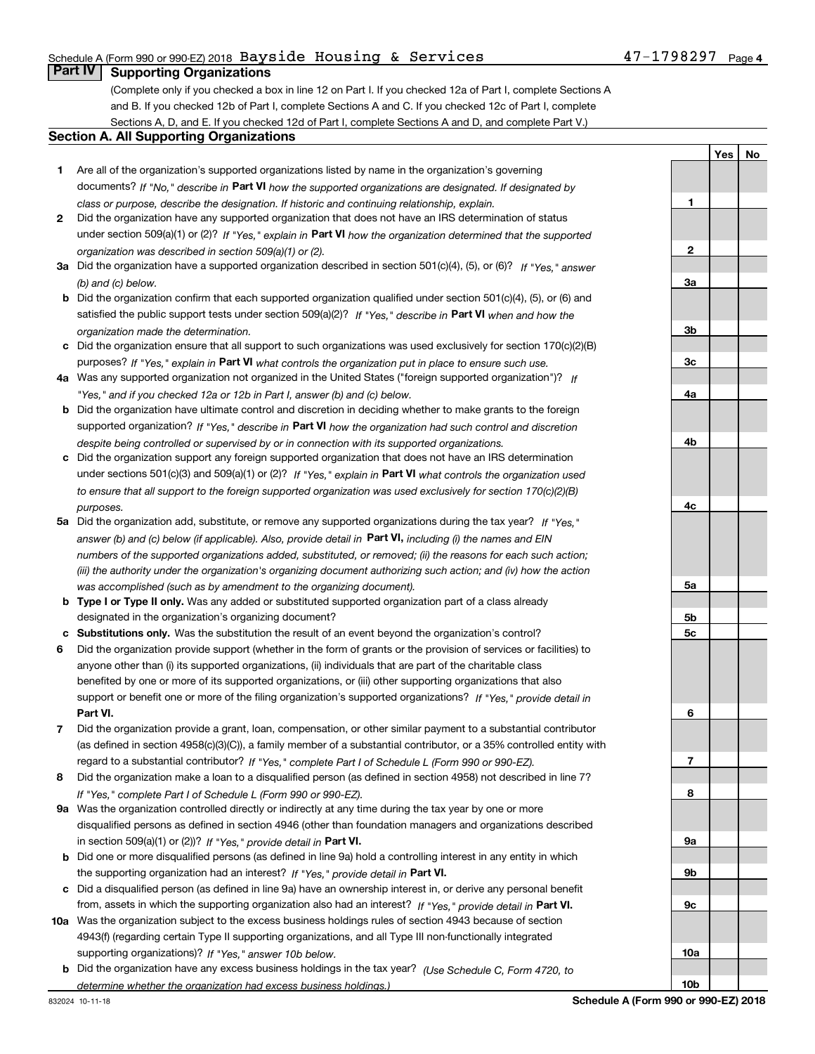### Schedule A (Form 990 or 990-EZ) 2018 Page Bayside Housing & Services 47-1798297

# **Part IV Supporting Organizations**

(Complete only if you checked a box in line 12 on Part I. If you checked 12a of Part I, complete Sections A and B. If you checked 12b of Part I, complete Sections A and C. If you checked 12c of Part I, complete Sections A, D, and E. If you checked 12d of Part I, complete Sections A and D, and complete Part V.)

#### **Section A. All Supporting Organizations**

- **1** Are all of the organization's supported organizations listed by name in the organization's governing documents? If "No," describe in **Part VI** how the supported organizations are designated. If designated by *class or purpose, describe the designation. If historic and continuing relationship, explain.*
- **2** Did the organization have any supported organization that does not have an IRS determination of status under section 509(a)(1) or (2)? If "Yes," explain in Part VI how the organization determined that the supported *organization was described in section 509(a)(1) or (2).*
- **3a** Did the organization have a supported organization described in section 501(c)(4), (5), or (6)? If "Yes," answer *(b) and (c) below.*
- **b** Did the organization confirm that each supported organization qualified under section 501(c)(4), (5), or (6) and satisfied the public support tests under section 509(a)(2)? If "Yes," describe in **Part VI** when and how the *organization made the determination.*
- **c**Did the organization ensure that all support to such organizations was used exclusively for section 170(c)(2)(B) purposes? If "Yes," explain in **Part VI** what controls the organization put in place to ensure such use.
- **4a***If* Was any supported organization not organized in the United States ("foreign supported organization")? *"Yes," and if you checked 12a or 12b in Part I, answer (b) and (c) below.*
- **b** Did the organization have ultimate control and discretion in deciding whether to make grants to the foreign supported organization? If "Yes," describe in **Part VI** how the organization had such control and discretion *despite being controlled or supervised by or in connection with its supported organizations.*
- **c** Did the organization support any foreign supported organization that does not have an IRS determination under sections 501(c)(3) and 509(a)(1) or (2)? If "Yes," explain in **Part VI** what controls the organization used *to ensure that all support to the foreign supported organization was used exclusively for section 170(c)(2)(B) purposes.*
- **5a***If "Yes,"* Did the organization add, substitute, or remove any supported organizations during the tax year? answer (b) and (c) below (if applicable). Also, provide detail in **Part VI,** including (i) the names and EIN *numbers of the supported organizations added, substituted, or removed; (ii) the reasons for each such action; (iii) the authority under the organization's organizing document authorizing such action; and (iv) how the action was accomplished (such as by amendment to the organizing document).*
- **b** Type I or Type II only. Was any added or substituted supported organization part of a class already designated in the organization's organizing document?
- **cSubstitutions only.**  Was the substitution the result of an event beyond the organization's control?
- **6** Did the organization provide support (whether in the form of grants or the provision of services or facilities) to **Part VI.** *If "Yes," provide detail in* support or benefit one or more of the filing organization's supported organizations? anyone other than (i) its supported organizations, (ii) individuals that are part of the charitable class benefited by one or more of its supported organizations, or (iii) other supporting organizations that also
- **7**Did the organization provide a grant, loan, compensation, or other similar payment to a substantial contributor *If "Yes," complete Part I of Schedule L (Form 990 or 990-EZ).* regard to a substantial contributor? (as defined in section 4958(c)(3)(C)), a family member of a substantial contributor, or a 35% controlled entity with
- **8** Did the organization make a loan to a disqualified person (as defined in section 4958) not described in line 7? *If "Yes," complete Part I of Schedule L (Form 990 or 990-EZ).*
- **9a** Was the organization controlled directly or indirectly at any time during the tax year by one or more in section 509(a)(1) or (2))? If "Yes," *provide detail in* <code>Part VI.</code> disqualified persons as defined in section 4946 (other than foundation managers and organizations described
- **b** Did one or more disqualified persons (as defined in line 9a) hold a controlling interest in any entity in which the supporting organization had an interest? If "Yes," provide detail in P**art VI**.
- **c**Did a disqualified person (as defined in line 9a) have an ownership interest in, or derive any personal benefit from, assets in which the supporting organization also had an interest? If "Yes," provide detail in P**art VI.**
- **10a** Was the organization subject to the excess business holdings rules of section 4943 because of section supporting organizations)? If "Yes," answer 10b below. 4943(f) (regarding certain Type II supporting organizations, and all Type III non-functionally integrated
- **b** Did the organization have any excess business holdings in the tax year? (Use Schedule C, Form 4720, to *determine whether the organization had excess business holdings.)*

**1**

**2**

**3a**

**3b**

**3c**

**4a**

**4b**

**4c**

**5a**

**5b5c**

**6**

**7**

**8**

**9a**

**9b**

**9c**

**10a**

**10b**

**YesNo**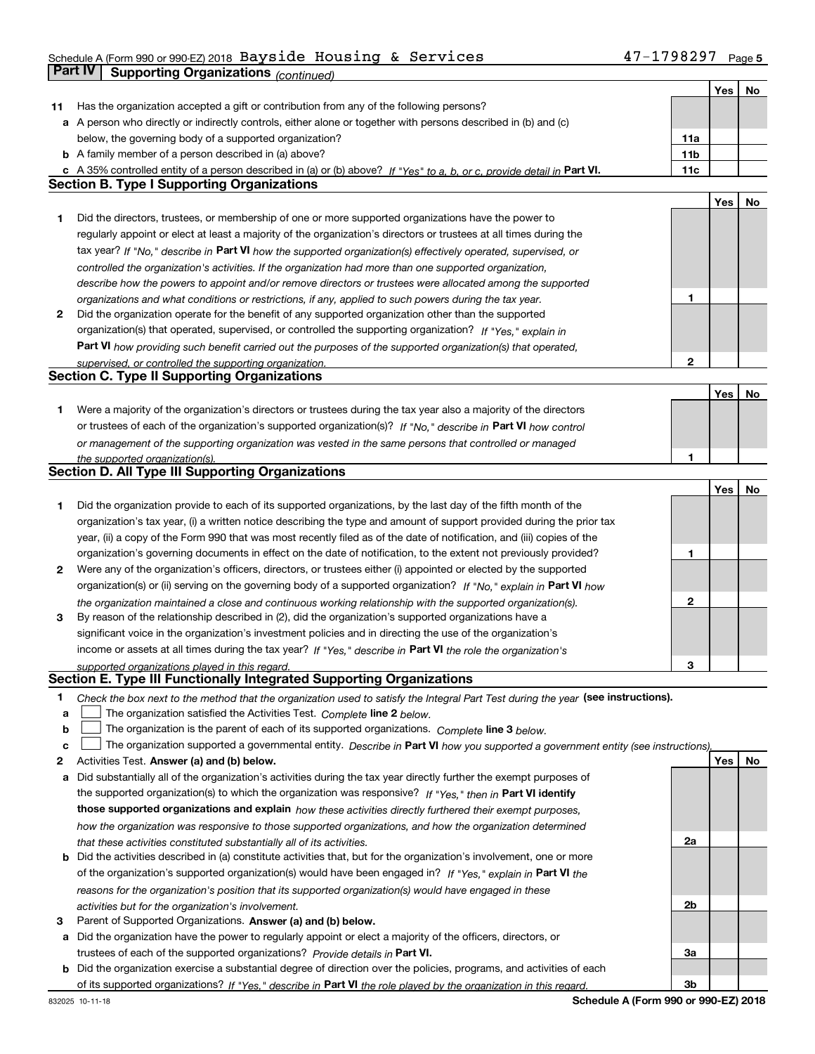### Schedule A (Form 990 or 990-EZ) 2018 Page Bayside Housing & Services 47-1798297**Part IV** Supporting Organizations (*continued*)

т

┱

|    |                                                                                                                                   |     | Yes | No |
|----|-----------------------------------------------------------------------------------------------------------------------------------|-----|-----|----|
| 11 | Has the organization accepted a gift or contribution from any of the following persons?                                           |     |     |    |
|    | a A person who directly or indirectly controls, either alone or together with persons described in (b) and (c)                    |     |     |    |
|    | below, the governing body of a supported organization?                                                                            | 11a |     |    |
|    | <b>b</b> A family member of a person described in (a) above?                                                                      | 11b |     |    |
|    | c A 35% controlled entity of a person described in (a) or (b) above? If "Yes" to a, b, or c, provide detail in Part VI.           | 11c |     |    |
|    | <b>Section B. Type I Supporting Organizations</b>                                                                                 |     |     |    |
|    |                                                                                                                                   |     | Yes | No |
| 1  | Did the directors, trustees, or membership of one or more supported organizations have the power to                               |     |     |    |
|    | regularly appoint or elect at least a majority of the organization's directors or trustees at all times during the                |     |     |    |
|    | tax year? If "No," describe in Part VI how the supported organization(s) effectively operated, supervised, or                     |     |     |    |
|    | controlled the organization's activities. If the organization had more than one supported organization,                           |     |     |    |
|    | describe how the powers to appoint and/or remove directors or trustees were allocated among the supported                         |     |     |    |
|    | organizations and what conditions or restrictions, if any, applied to such powers during the tax year.                            | 1   |     |    |
| 2  | Did the organization operate for the benefit of any supported organization other than the supported                               |     |     |    |
|    | organization(s) that operated, supervised, or controlled the supporting organization? If "Yes," explain in                        |     |     |    |
|    |                                                                                                                                   |     |     |    |
|    | Part VI how providing such benefit carried out the purposes of the supported organization(s) that operated,                       | 2   |     |    |
|    | supervised, or controlled the supporting organization.<br><b>Section C. Type II Supporting Organizations</b>                      |     |     |    |
|    |                                                                                                                                   |     |     |    |
|    |                                                                                                                                   |     | Yes | No |
| 1. | Were a majority of the organization's directors or trustees during the tax year also a majority of the directors                  |     |     |    |
|    | or trustees of each of the organization's supported organization(s)? If "No," describe in Part VI how control                     |     |     |    |
|    | or management of the supporting organization was vested in the same persons that controlled or managed                            |     |     |    |
|    | the supported organization(s).<br>Section D. All Type III Supporting Organizations                                                | 1   |     |    |
|    |                                                                                                                                   |     |     |    |
|    |                                                                                                                                   |     | Yes | No |
| 1  | Did the organization provide to each of its supported organizations, by the last day of the fifth month of the                    |     |     |    |
|    | organization's tax year, (i) a written notice describing the type and amount of support provided during the prior tax             |     |     |    |
|    | year, (ii) a copy of the Form 990 that was most recently filed as of the date of notification, and (iii) copies of the            |     |     |    |
|    | organization's governing documents in effect on the date of notification, to the extent not previously provided?                  | 1   |     |    |
| 2  | Were any of the organization's officers, directors, or trustees either (i) appointed or elected by the supported                  |     |     |    |
|    | organization(s) or (ii) serving on the governing body of a supported organization? If "No," explain in Part VI how                |     |     |    |
|    | the organization maintained a close and continuous working relationship with the supported organization(s).                       | 2   |     |    |
| 3  | By reason of the relationship described in (2), did the organization's supported organizations have a                             |     |     |    |
|    | significant voice in the organization's investment policies and in directing the use of the organization's                        |     |     |    |
|    | income or assets at all times during the tax year? If "Yes," describe in Part VI the role the organization's                      |     |     |    |
|    | supported organizations played in this regard.                                                                                    | 3   |     |    |
|    | Section E. Type III Functionally Integrated Supporting Organizations                                                              |     |     |    |
| 1  | Check the box next to the method that the organization used to satisfy the Integral Part Test during the year (see instructions). |     |     |    |
| a  | The organization satisfied the Activities Test. Complete line 2 below.                                                            |     |     |    |
| b  | The organization is the parent of each of its supported organizations. Complete line 3 below.                                     |     |     |    |
| с  | The organization supported a governmental entity. Describe in Part VI how you supported a government entity (see instructions),   |     |     |    |
| 2  | Activities Test. Answer (a) and (b) below.                                                                                        |     | Yes | No |
| а  | Did substantially all of the organization's activities during the tax year directly further the exempt purposes of                |     |     |    |
|    | the supported organization(s) to which the organization was responsive? If "Yes," then in Part VI identify                        |     |     |    |
|    | those supported organizations and explain how these activities directly furthered their exempt purposes,                          |     |     |    |
|    | how the organization was responsive to those supported organizations, and how the organization determined                         |     |     |    |
|    | that these activities constituted substantially all of its activities.                                                            | 2a  |     |    |
| b  | Did the activities described in (a) constitute activities that, but for the organization's involvement, one or more               |     |     |    |
|    | of the organization's supported organization(s) would have been engaged in? If "Yes," explain in Part VI the                      |     |     |    |
|    | reasons for the organization's position that its supported organization(s) would have engaged in these                            |     |     |    |
|    | activities but for the organization's involvement.                                                                                | 2b  |     |    |
| З  | Parent of Supported Organizations. Answer (a) and (b) below.                                                                      |     |     |    |
|    | a Did the organization have the power to regularly appoint or elect a majority of the officers, directors, or                     |     |     |    |
|    | trustees of each of the supported organizations? Provide details in Part VI.                                                      | За  |     |    |
|    | <b>b</b> Did the organization exercise a substantial degree of direction over the policies, programs, and activities of each      |     |     |    |
|    | of its supported organizations? If "Yes," describe in Part VI the role played by the organization in this regard.                 | 3b  |     |    |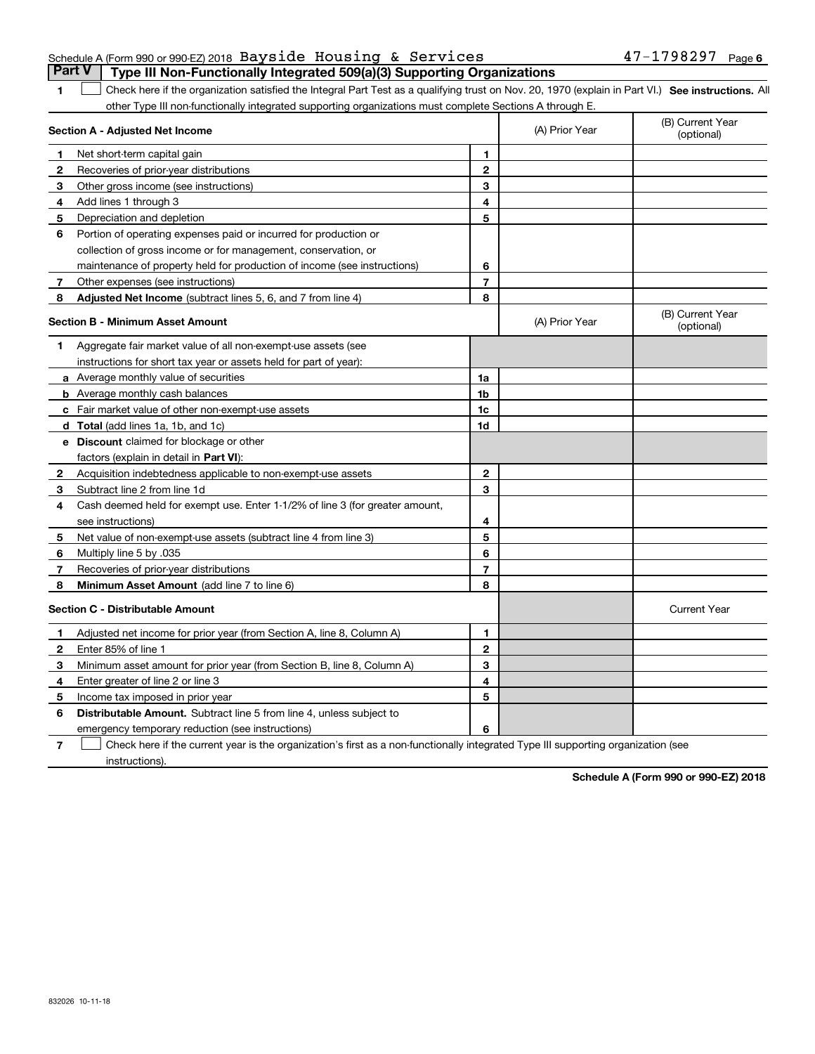#### Schedule A (Form 990 or 990-EZ) 2018 Page Bayside Housing & Services 47-1798297**Part V** Type III Non-Functionally Integrated 509(a)(3) Supporting Organizations

**SEP 10. See instructions.** All antegral Part Test as a qualifying trust on Nov. 20, 1970 (explain in Part VI.) See instructions. All other Type III non-functionally integrated supporting organizations must complete Sections A through E. ×.

|              | Section A - Adjusted Net Income                                              |                | (A) Prior Year | (B) Current Year<br>(optional) |
|--------------|------------------------------------------------------------------------------|----------------|----------------|--------------------------------|
| 1            | Net short-term capital gain                                                  | 1              |                |                                |
| 2            | Recoveries of prior-year distributions                                       | $\mathbf{2}$   |                |                                |
| 3            | Other gross income (see instructions)                                        | 3              |                |                                |
| 4            | Add lines 1 through 3                                                        | 4              |                |                                |
| 5            | Depreciation and depletion                                                   | 5              |                |                                |
| 6            | Portion of operating expenses paid or incurred for production or             |                |                |                                |
|              | collection of gross income or for management, conservation, or               |                |                |                                |
|              | maintenance of property held for production of income (see instructions)     | 6              |                |                                |
| 7            | Other expenses (see instructions)                                            | $\overline{7}$ |                |                                |
| 8            | Adjusted Net Income (subtract lines 5, 6, and 7 from line 4)                 | 8              |                |                                |
|              | <b>Section B - Minimum Asset Amount</b>                                      |                | (A) Prior Year | (B) Current Year<br>(optional) |
| 1.           | Aggregate fair market value of all non-exempt-use assets (see                |                |                |                                |
|              | instructions for short tax year or assets held for part of year):            |                |                |                                |
|              | a Average monthly value of securities                                        | 1a             |                |                                |
|              | <b>b</b> Average monthly cash balances                                       | 1b             |                |                                |
|              | c Fair market value of other non-exempt-use assets                           | 1c             |                |                                |
|              | <b>d</b> Total (add lines 1a, 1b, and 1c)                                    | 1d             |                |                                |
|              | e Discount claimed for blockage or other                                     |                |                |                                |
|              | factors (explain in detail in Part VI):                                      |                |                |                                |
| $\mathbf{2}$ | Acquisition indebtedness applicable to non-exempt-use assets                 | $\mathbf{2}$   |                |                                |
| 3            | Subtract line 2 from line 1d                                                 | 3              |                |                                |
| 4            | Cash deemed held for exempt use. Enter 1-1/2% of line 3 (for greater amount, |                |                |                                |
|              | see instructions)                                                            | 4              |                |                                |
| 5            | Net value of non-exempt-use assets (subtract line 4 from line 3)             | 5              |                |                                |
| 6            | Multiply line 5 by .035                                                      | 6              |                |                                |
| 7            | Recoveries of prior-year distributions                                       | 7              |                |                                |
| 8            | Minimum Asset Amount (add line 7 to line 6)                                  | 8              |                |                                |
|              | <b>Section C - Distributable Amount</b>                                      |                |                | <b>Current Year</b>            |
| 1            | Adjusted net income for prior year (from Section A, line 8, Column A)        | 1              |                |                                |
| $\mathbf{2}$ | Enter 85% of line 1                                                          | $\overline{2}$ |                |                                |
| 3            | Minimum asset amount for prior year (from Section B, line 8, Column A)       | 3              |                |                                |
| 4            | Enter greater of line 2 or line 3                                            | 4              |                |                                |
| 5            | Income tax imposed in prior year                                             | 5              |                |                                |
| 6            | <b>Distributable Amount.</b> Subtract line 5 from line 4, unless subject to  |                |                |                                |
|              | emergency temporary reduction (see instructions)                             | 6              |                |                                |
|              |                                                                              |                |                |                                |

**7**Check here if the current year is the organization's first as a non-functionally integrated Type III supporting organization (see instructions).

**Schedule A (Form 990 or 990-EZ) 2018**

**1**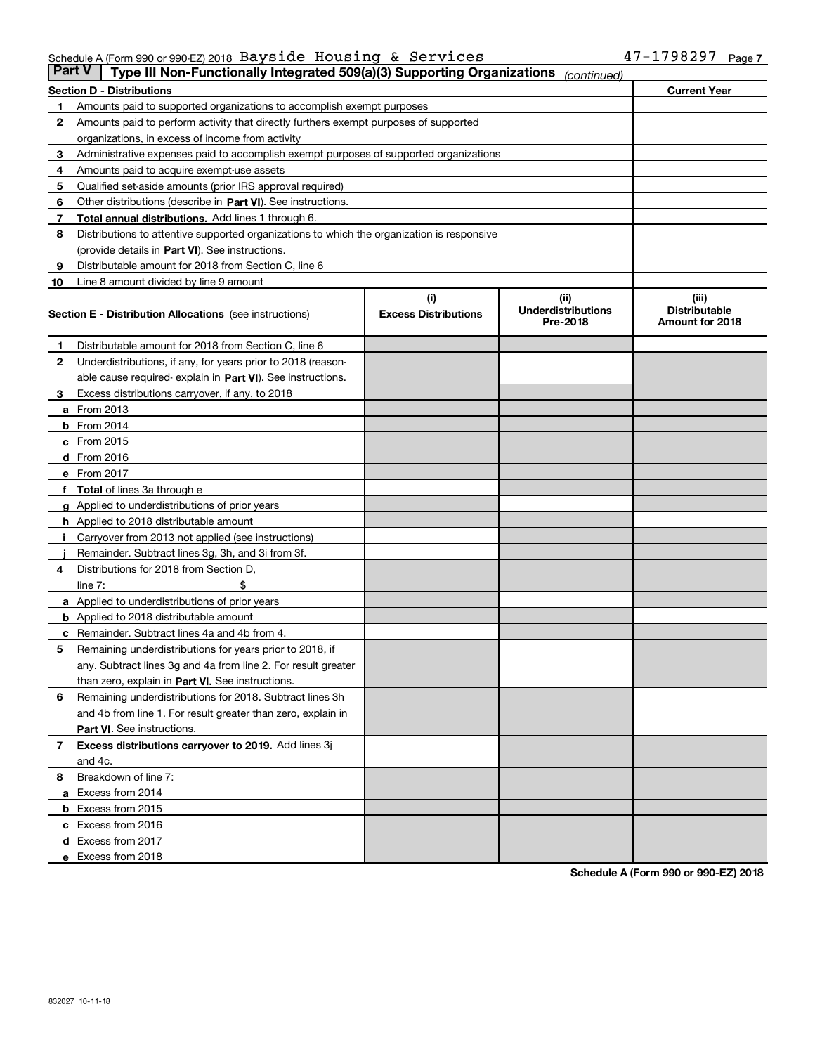#### Schedule A (Form 990 or 990-EZ) 2018 Page Bayside Housing & Services 47-1798297

|    | <b>Part V</b><br>Type III Non-Functionally Integrated 509(a)(3) Supporting Organizations   |                             | (continued)                           |                                         |  |  |  |
|----|--------------------------------------------------------------------------------------------|-----------------------------|---------------------------------------|-----------------------------------------|--|--|--|
|    | Section D - Distributions                                                                  |                             |                                       | <b>Current Year</b>                     |  |  |  |
| 1  | Amounts paid to supported organizations to accomplish exempt purposes                      |                             |                                       |                                         |  |  |  |
| 2  | Amounts paid to perform activity that directly furthers exempt purposes of supported       |                             |                                       |                                         |  |  |  |
|    | organizations, in excess of income from activity                                           |                             |                                       |                                         |  |  |  |
| з  | Administrative expenses paid to accomplish exempt purposes of supported organizations      |                             |                                       |                                         |  |  |  |
| 4  | Amounts paid to acquire exempt-use assets                                                  |                             |                                       |                                         |  |  |  |
| 5  | Qualified set-aside amounts (prior IRS approval required)                                  |                             |                                       |                                         |  |  |  |
| 6  | Other distributions (describe in Part VI). See instructions.                               |                             |                                       |                                         |  |  |  |
| 7  | Total annual distributions. Add lines 1 through 6.                                         |                             |                                       |                                         |  |  |  |
| 8  | Distributions to attentive supported organizations to which the organization is responsive |                             |                                       |                                         |  |  |  |
|    | (provide details in Part VI). See instructions.                                            |                             |                                       |                                         |  |  |  |
| 9  | Distributable amount for 2018 from Section C, line 6                                       |                             |                                       |                                         |  |  |  |
| 10 | Line 8 amount divided by line 9 amount                                                     |                             |                                       |                                         |  |  |  |
|    |                                                                                            | (i)                         | (ii)                                  | (iii)                                   |  |  |  |
|    | Section E - Distribution Allocations (see instructions)                                    | <b>Excess Distributions</b> | <b>Underdistributions</b><br>Pre-2018 | <b>Distributable</b><br>Amount for 2018 |  |  |  |
| 1  | Distributable amount for 2018 from Section C, line 6                                       |                             |                                       |                                         |  |  |  |
| 2  | Underdistributions, if any, for years prior to 2018 (reason-                               |                             |                                       |                                         |  |  |  |
|    | able cause required- explain in Part VI). See instructions.                                |                             |                                       |                                         |  |  |  |
| з  | Excess distributions carryover, if any, to 2018                                            |                             |                                       |                                         |  |  |  |
|    | <b>a</b> From 2013                                                                         |                             |                                       |                                         |  |  |  |
|    | <b>b</b> From 2014                                                                         |                             |                                       |                                         |  |  |  |
|    | $c$ From 2015                                                                              |                             |                                       |                                         |  |  |  |
|    | d From 2016                                                                                |                             |                                       |                                         |  |  |  |
|    | e From 2017                                                                                |                             |                                       |                                         |  |  |  |
|    | <b>Total</b> of lines 3a through e                                                         |                             |                                       |                                         |  |  |  |
|    | <b>g</b> Applied to underdistributions of prior years                                      |                             |                                       |                                         |  |  |  |
|    | <b>h</b> Applied to 2018 distributable amount                                              |                             |                                       |                                         |  |  |  |
|    | Carryover from 2013 not applied (see instructions)                                         |                             |                                       |                                         |  |  |  |
|    | Remainder. Subtract lines 3g, 3h, and 3i from 3f.                                          |                             |                                       |                                         |  |  |  |
| 4  | Distributions for 2018 from Section D,                                                     |                             |                                       |                                         |  |  |  |
|    | line $7:$                                                                                  |                             |                                       |                                         |  |  |  |
|    | <b>a</b> Applied to underdistributions of prior years                                      |                             |                                       |                                         |  |  |  |
|    | <b>b</b> Applied to 2018 distributable amount                                              |                             |                                       |                                         |  |  |  |
| c  | Remainder. Subtract lines 4a and 4b from 4.                                                |                             |                                       |                                         |  |  |  |
| 5  | Remaining underdistributions for years prior to 2018, if                                   |                             |                                       |                                         |  |  |  |
|    | any. Subtract lines 3g and 4a from line 2. For result greater                              |                             |                                       |                                         |  |  |  |
|    | than zero, explain in Part VI. See instructions.                                           |                             |                                       |                                         |  |  |  |
| 6  | Remaining underdistributions for 2018. Subtract lines 3h                                   |                             |                                       |                                         |  |  |  |
|    | and 4b from line 1. For result greater than zero, explain in                               |                             |                                       |                                         |  |  |  |
|    | Part VI. See instructions.                                                                 |                             |                                       |                                         |  |  |  |
| 7  | Excess distributions carryover to 2019. Add lines 3j                                       |                             |                                       |                                         |  |  |  |
|    | and 4c.                                                                                    |                             |                                       |                                         |  |  |  |
| 8  | Breakdown of line 7:                                                                       |                             |                                       |                                         |  |  |  |
|    | a Excess from 2014                                                                         |                             |                                       |                                         |  |  |  |
|    | <b>b</b> Excess from 2015                                                                  |                             |                                       |                                         |  |  |  |
|    | c Excess from 2016                                                                         |                             |                                       |                                         |  |  |  |
|    | d Excess from 2017                                                                         |                             |                                       |                                         |  |  |  |
|    | e Excess from 2018                                                                         |                             |                                       |                                         |  |  |  |
|    |                                                                                            |                             |                                       |                                         |  |  |  |

**Schedule A (Form 990 or 990-EZ) 2018**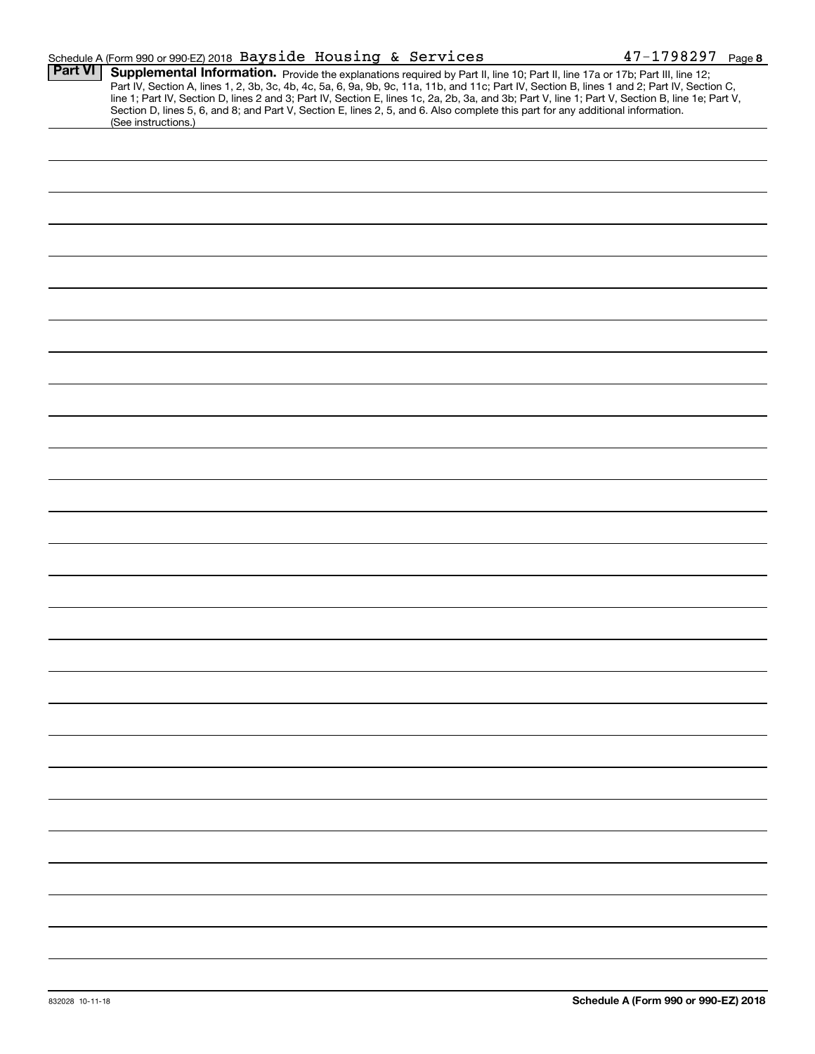|                | Schedule A (Form 990 or 990-EZ) 2018 Bayside Housing & Services                                                                                                                                                                                                                                                                                                                                                                                                                                                                                                                             | $47 - 1798297$ Page 8 |
|----------------|---------------------------------------------------------------------------------------------------------------------------------------------------------------------------------------------------------------------------------------------------------------------------------------------------------------------------------------------------------------------------------------------------------------------------------------------------------------------------------------------------------------------------------------------------------------------------------------------|-----------------------|
| <b>Part VI</b> | Supplemental Information. Provide the explanations required by Part II, line 10; Part II, line 17a or 17b; Part III, line 12;<br>Part IV, Section A, lines 1, 2, 3b, 3c, 4b, 4c, 5a, 6, 9a, 9b, 9c, 11a, 11b, and 11c; Part IV, Section B, lines 1 and 2; Part IV, Section C,<br>line 1; Part IV, Section D, lines 2 and 3; Part IV, Section E, lines 1c, 2a, 2b, 3a, and 3b; Part V, line 1; Part V, Section B, line 1e; Part V,<br>Section D, lines 5, 6, and 8; and Part V, Section E, lines 2, 5, and 6. Also complete this part for any additional information.<br>(See instructions.) |                       |
|                |                                                                                                                                                                                                                                                                                                                                                                                                                                                                                                                                                                                             |                       |
|                |                                                                                                                                                                                                                                                                                                                                                                                                                                                                                                                                                                                             |                       |
|                |                                                                                                                                                                                                                                                                                                                                                                                                                                                                                                                                                                                             |                       |
|                |                                                                                                                                                                                                                                                                                                                                                                                                                                                                                                                                                                                             |                       |
|                |                                                                                                                                                                                                                                                                                                                                                                                                                                                                                                                                                                                             |                       |
|                |                                                                                                                                                                                                                                                                                                                                                                                                                                                                                                                                                                                             |                       |
|                |                                                                                                                                                                                                                                                                                                                                                                                                                                                                                                                                                                                             |                       |
|                |                                                                                                                                                                                                                                                                                                                                                                                                                                                                                                                                                                                             |                       |
|                |                                                                                                                                                                                                                                                                                                                                                                                                                                                                                                                                                                                             |                       |
|                |                                                                                                                                                                                                                                                                                                                                                                                                                                                                                                                                                                                             |                       |
|                |                                                                                                                                                                                                                                                                                                                                                                                                                                                                                                                                                                                             |                       |
|                |                                                                                                                                                                                                                                                                                                                                                                                                                                                                                                                                                                                             |                       |
|                |                                                                                                                                                                                                                                                                                                                                                                                                                                                                                                                                                                                             |                       |
|                |                                                                                                                                                                                                                                                                                                                                                                                                                                                                                                                                                                                             |                       |
|                |                                                                                                                                                                                                                                                                                                                                                                                                                                                                                                                                                                                             |                       |
|                |                                                                                                                                                                                                                                                                                                                                                                                                                                                                                                                                                                                             |                       |
|                |                                                                                                                                                                                                                                                                                                                                                                                                                                                                                                                                                                                             |                       |
|                |                                                                                                                                                                                                                                                                                                                                                                                                                                                                                                                                                                                             |                       |
|                |                                                                                                                                                                                                                                                                                                                                                                                                                                                                                                                                                                                             |                       |
|                |                                                                                                                                                                                                                                                                                                                                                                                                                                                                                                                                                                                             |                       |
|                |                                                                                                                                                                                                                                                                                                                                                                                                                                                                                                                                                                                             |                       |
|                |                                                                                                                                                                                                                                                                                                                                                                                                                                                                                                                                                                                             |                       |
|                |                                                                                                                                                                                                                                                                                                                                                                                                                                                                                                                                                                                             |                       |
|                |                                                                                                                                                                                                                                                                                                                                                                                                                                                                                                                                                                                             |                       |
|                |                                                                                                                                                                                                                                                                                                                                                                                                                                                                                                                                                                                             |                       |
|                |                                                                                                                                                                                                                                                                                                                                                                                                                                                                                                                                                                                             |                       |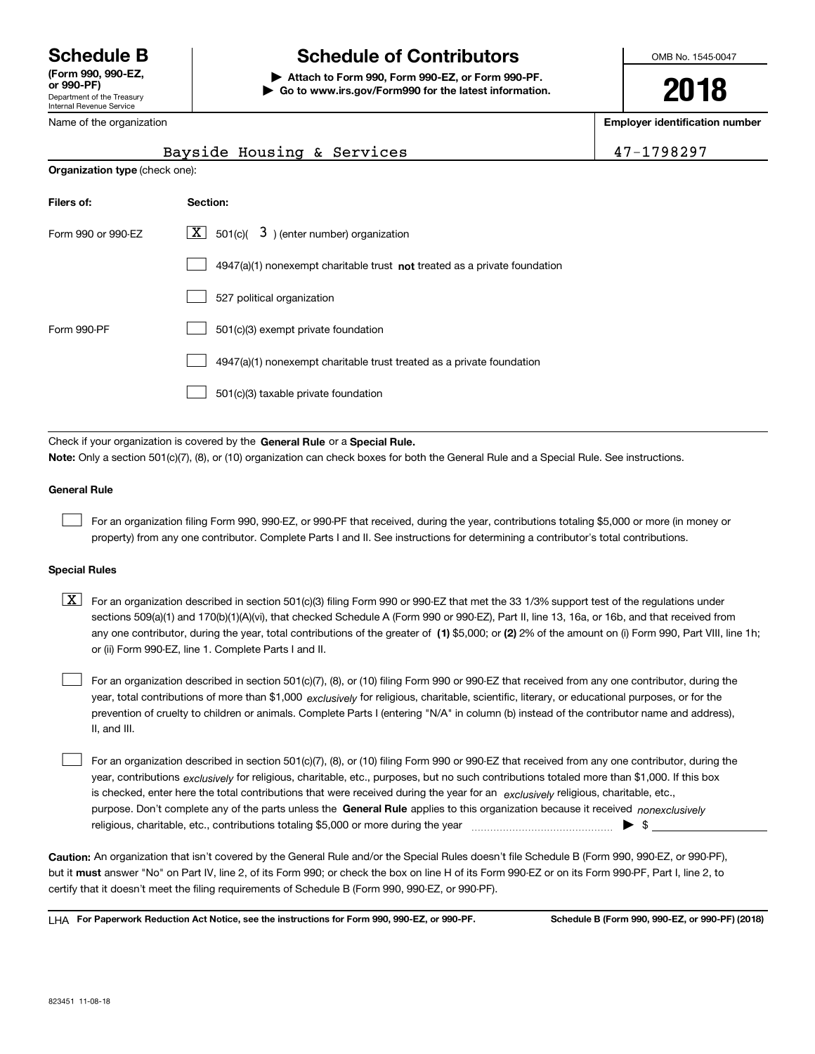Department of the Treasury Internal Revenue Service **(Form 990, 990-EZ, or 990-PF)** Name of the organization

# **Schedule B Schedule of Contributors**

**| Attach to Form 990, Form 990-EZ, or Form 990-PF. | Go to www.irs.gov/Form990 for the latest information.** OMB No. 1545-0047

**2018**

**Employer identification number**

|                                       | Bayside Housing & Services<br>47-1798297                                    |  |  |  |  |
|---------------------------------------|-----------------------------------------------------------------------------|--|--|--|--|
| <b>Organization type (check one):</b> |                                                                             |  |  |  |  |
| Filers of:                            | Section:                                                                    |  |  |  |  |
| Form 990 or 990-EZ                    | $X \mid$<br>501(c)( $3$ ) (enter number) organization                       |  |  |  |  |
|                                       | $4947(a)(1)$ nonexempt charitable trust not treated as a private foundation |  |  |  |  |
|                                       | 527 political organization                                                  |  |  |  |  |
| Form 990-PF                           | 501(c)(3) exempt private foundation                                         |  |  |  |  |
|                                       | 4947(a)(1) nonexempt charitable trust treated as a private foundation       |  |  |  |  |
|                                       | 501(c)(3) taxable private foundation                                        |  |  |  |  |

Check if your organization is covered by the **General Rule** or a **Special Rule. Note:**  Only a section 501(c)(7), (8), or (10) organization can check boxes for both the General Rule and a Special Rule. See instructions.

#### **General Rule**

 $\mathcal{L}^{\text{max}}$ 

For an organization filing Form 990, 990-EZ, or 990-PF that received, during the year, contributions totaling \$5,000 or more (in money or property) from any one contributor. Complete Parts I and II. See instructions for determining a contributor's total contributions.

#### **Special Rules**

any one contributor, during the year, total contributions of the greater of  $\,$  (1) \$5,000; or **(2)** 2% of the amount on (i) Form 990, Part VIII, line 1h;  $\boxed{\textbf{X}}$  For an organization described in section 501(c)(3) filing Form 990 or 990-EZ that met the 33 1/3% support test of the regulations under sections 509(a)(1) and 170(b)(1)(A)(vi), that checked Schedule A (Form 990 or 990-EZ), Part II, line 13, 16a, or 16b, and that received from or (ii) Form 990-EZ, line 1. Complete Parts I and II.

year, total contributions of more than \$1,000 *exclusively* for religious, charitable, scientific, literary, or educational purposes, or for the For an organization described in section 501(c)(7), (8), or (10) filing Form 990 or 990-EZ that received from any one contributor, during the prevention of cruelty to children or animals. Complete Parts I (entering "N/A" in column (b) instead of the contributor name and address), II, and III.  $\mathcal{L}^{\text{max}}$ 

purpose. Don't complete any of the parts unless the **General Rule** applies to this organization because it received *nonexclusively* year, contributions <sub>exclusively</sub> for religious, charitable, etc., purposes, but no such contributions totaled more than \$1,000. If this box is checked, enter here the total contributions that were received during the year for an  $\;$ exclusively religious, charitable, etc., For an organization described in section 501(c)(7), (8), or (10) filing Form 990 or 990-EZ that received from any one contributor, during the religious, charitable, etc., contributions totaling \$5,000 or more during the year  $\Box$ — $\Box$   $\Box$  $\mathcal{L}^{\text{max}}$ 

**Caution:**  An organization that isn't covered by the General Rule and/or the Special Rules doesn't file Schedule B (Form 990, 990-EZ, or 990-PF),  **must** but it answer "No" on Part IV, line 2, of its Form 990; or check the box on line H of its Form 990-EZ or on its Form 990-PF, Part I, line 2, to certify that it doesn't meet the filing requirements of Schedule B (Form 990, 990-EZ, or 990-PF).

**For Paperwork Reduction Act Notice, see the instructions for Form 990, 990-EZ, or 990-PF. Schedule B (Form 990, 990-EZ, or 990-PF) (2018)** LHA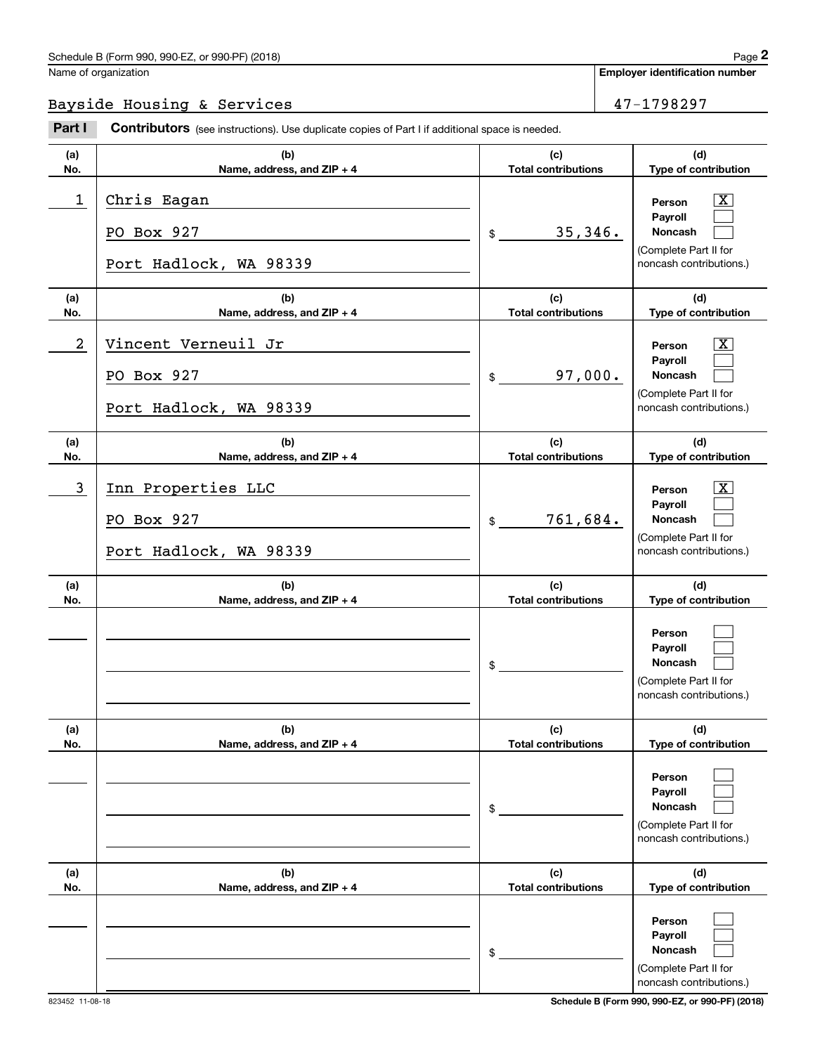# Bayside Housing & Services 47-1798297

|                  | Schedule B (Form 990, 990-EZ, or 990-PF) (2018)                                                |                                   | Page 2                                                                                           |
|------------------|------------------------------------------------------------------------------------------------|-----------------------------------|--------------------------------------------------------------------------------------------------|
|                  | Name of organization                                                                           |                                   | <b>Employer identification number</b>                                                            |
|                  | Bayside Housing & Services                                                                     |                                   | 47-1798297                                                                                       |
| Part I           | Contributors (see instructions). Use duplicate copies of Part I if additional space is needed. |                                   |                                                                                                  |
| (a)<br>No.       | (b)<br>Name, address, and ZIP + 4                                                              | (c)<br><b>Total contributions</b> | (d)<br>Type of contribution                                                                      |
| $\mathbf 1$      | Chris Eagan<br>PO Box 927                                                                      | 35,346.<br>$\frac{1}{2}$          | $\mathbf{X}$<br>Person<br>Payroll<br>Noncash                                                     |
|                  | Port Hadlock, WA 98339                                                                         |                                   | (Complete Part II for<br>noncash contributions.)                                                 |
| (a)<br>No.       | (b)<br>Name, address, and ZIP + 4                                                              | (c)<br><b>Total contributions</b> | (d)<br>Type of contribution                                                                      |
| $\boldsymbol{2}$ | Vincent Verneuil Jr<br>PO Box 927<br>Port Hadlock, WA 98339                                    | 97,000.<br>$\frac{1}{2}$          | $\mathbf{X}$<br>Person<br>Payroll<br>Noncash<br>(Complete Part II for<br>noncash contributions.) |
| (a)<br>No.       | (b)<br>Name, address, and ZIP + 4                                                              | (c)<br><b>Total contributions</b> | (d)<br>Type of contribution                                                                      |
| 3                | Inn Properties LLC<br>PO Box 927<br>Port Hadlock, WA 98339                                     | 761,684.<br>$$\mathbb{S}$$        | $\mathbf{X}$<br>Person<br>Payroll<br>Noncash<br>(Complete Part II for<br>noncash contributions.) |
| (a)<br>No.       | (b)<br>Name, address, and ZIP + 4                                                              | (c)<br><b>Total contributions</b> | (d)<br>Type of contribution                                                                      |
|                  |                                                                                                | \$                                | Person<br>Payroll<br>Noncash<br>(Complete Part II for<br>noncash contributions.)                 |
| (a)<br>No.       | (b)<br>Name, address, and ZIP + 4                                                              | (c)<br><b>Total contributions</b> | (d)<br>Type of contribution                                                                      |
|                  |                                                                                                | \$                                | Person<br>Payroll<br>Noncash<br>(Complete Part II for<br>noncash contributions.)                 |
| (a)<br>No.       | (b)<br>Name, address, and ZIP + 4                                                              | (c)<br><b>Total contributions</b> | (d)<br>Type of contribution                                                                      |
|                  |                                                                                                | \$                                | Person<br>Payroll<br>Noncash<br>(Complete Part II for<br>noncash contributions.)                 |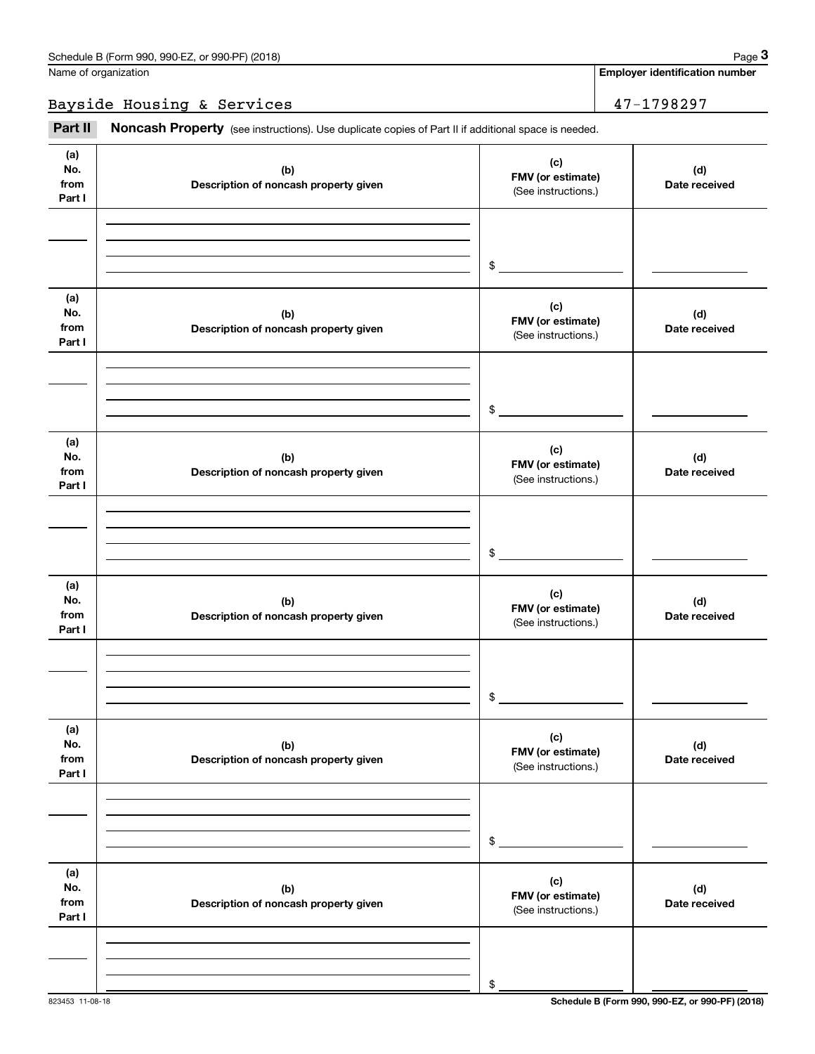### Bayside Housing & Services 47-1798297

Fage 3 Employer identification pumber<br>
Jame of organization<br> **3**<br> **3Part II Noncash Property** (see instructions). Use duplicate copies of Part II if additional space is needed.

| (a)<br>No.<br>from<br>Part I | (b)<br>Description of noncash property given | (c)<br>FMV (or estimate)<br>(See instructions.) | (d)<br>Date received |
|------------------------------|----------------------------------------------|-------------------------------------------------|----------------------|
|                              |                                              | $\frac{1}{2}$                                   |                      |
| (a)<br>No.<br>from<br>Part I | (b)<br>Description of noncash property given | (c)<br>FMV (or estimate)<br>(See instructions.) | (d)<br>Date received |
|                              |                                              | $\frac{1}{2}$                                   |                      |
| (a)<br>No.<br>from<br>Part I | (b)<br>Description of noncash property given | (c)<br>FMV (or estimate)<br>(See instructions.) | (d)<br>Date received |
|                              |                                              | $\frac{1}{2}$                                   |                      |
| (a)<br>No.<br>from<br>Part I | (b)<br>Description of noncash property given | (c)<br>FMV (or estimate)<br>(See instructions.) | (d)<br>Date received |
|                              |                                              | $$\circ$$                                       |                      |
| (a)<br>No.<br>from<br>Part I | (b)<br>Description of noncash property given | (c)<br>FMV (or estimate)<br>(See instructions.) | (d)<br>Date received |
|                              |                                              | \$                                              |                      |
| (a)<br>No.<br>from<br>Part I | (b)<br>Description of noncash property given | (c)<br>FMV (or estimate)<br>(See instructions.) | (d)<br>Date received |
|                              |                                              | \$                                              |                      |
|                              |                                              |                                                 |                      |

**Employer identification number**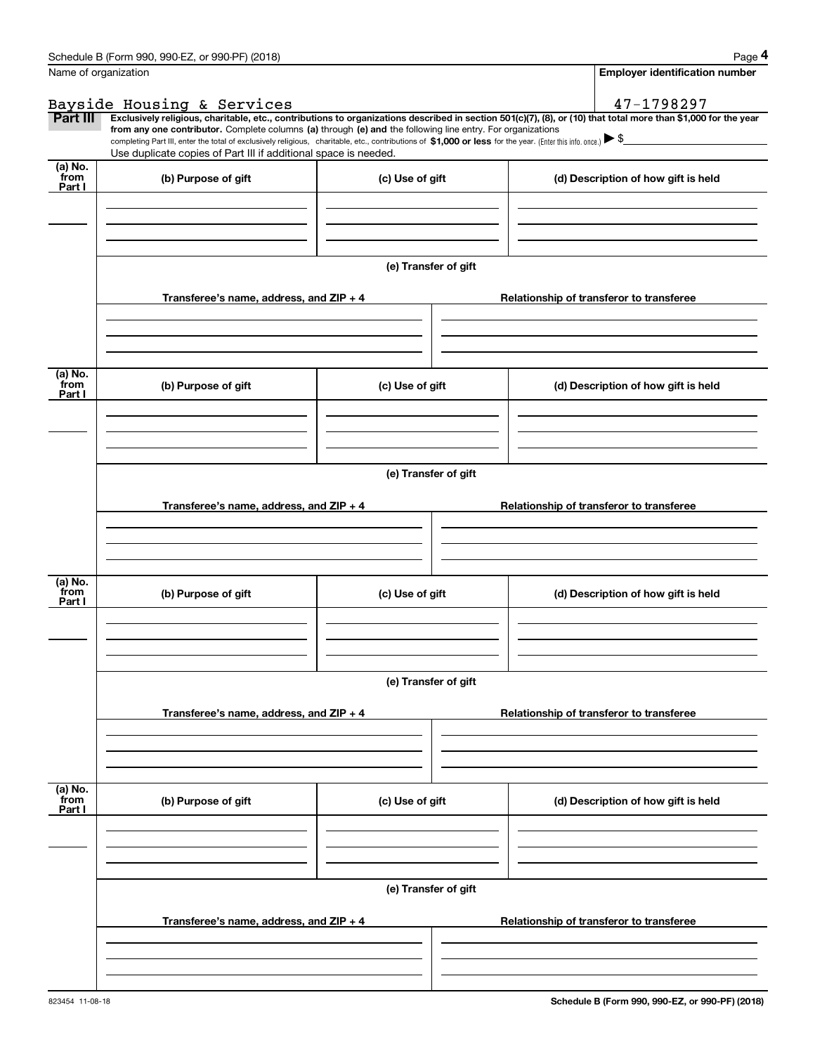|                           | Schedule B (Form 990, 990-EZ, or 990-PF) (2018)                                                                                                                                                                                                                                                 |                      | Page 4                                                                                                                                                         |  |  |
|---------------------------|-------------------------------------------------------------------------------------------------------------------------------------------------------------------------------------------------------------------------------------------------------------------------------------------------|----------------------|----------------------------------------------------------------------------------------------------------------------------------------------------------------|--|--|
|                           | Name of organization                                                                                                                                                                                                                                                                            |                      | <b>Employer identification number</b>                                                                                                                          |  |  |
|                           | Bayside Housing & Services                                                                                                                                                                                                                                                                      |                      | 47-1798297                                                                                                                                                     |  |  |
| Part III                  |                                                                                                                                                                                                                                                                                                 |                      | Exclusively religious, charitable, etc., contributions to organizations described in section 501(c)(7), (8), or (10) that total more than \$1,000 for the year |  |  |
|                           | from any one contributor. Complete columns (a) through (e) and the following line entry. For organizations<br>completing Part III, enter the total of exclusively religious, charitable, etc., contributions of \$1,000 or less for the year. (Enter this info. once.) $\blacktriangleright$ \$ |                      |                                                                                                                                                                |  |  |
|                           | Use duplicate copies of Part III if additional space is needed.                                                                                                                                                                                                                                 |                      |                                                                                                                                                                |  |  |
| (a) No.<br>from           | (b) Purpose of gift                                                                                                                                                                                                                                                                             | (c) Use of gift      | (d) Description of how gift is held                                                                                                                            |  |  |
| Part I                    |                                                                                                                                                                                                                                                                                                 |                      |                                                                                                                                                                |  |  |
|                           |                                                                                                                                                                                                                                                                                                 |                      |                                                                                                                                                                |  |  |
|                           |                                                                                                                                                                                                                                                                                                 |                      |                                                                                                                                                                |  |  |
|                           |                                                                                                                                                                                                                                                                                                 |                      |                                                                                                                                                                |  |  |
|                           |                                                                                                                                                                                                                                                                                                 | (e) Transfer of gift |                                                                                                                                                                |  |  |
|                           | Transferee's name, address, and ZIP + 4                                                                                                                                                                                                                                                         |                      | Relationship of transferor to transferee                                                                                                                       |  |  |
|                           |                                                                                                                                                                                                                                                                                                 |                      |                                                                                                                                                                |  |  |
|                           |                                                                                                                                                                                                                                                                                                 |                      |                                                                                                                                                                |  |  |
|                           |                                                                                                                                                                                                                                                                                                 |                      |                                                                                                                                                                |  |  |
| (a) No.                   |                                                                                                                                                                                                                                                                                                 |                      |                                                                                                                                                                |  |  |
| from<br>Part I            | (b) Purpose of gift                                                                                                                                                                                                                                                                             | (c) Use of gift      | (d) Description of how gift is held                                                                                                                            |  |  |
|                           |                                                                                                                                                                                                                                                                                                 |                      |                                                                                                                                                                |  |  |
|                           |                                                                                                                                                                                                                                                                                                 |                      |                                                                                                                                                                |  |  |
|                           |                                                                                                                                                                                                                                                                                                 |                      |                                                                                                                                                                |  |  |
|                           |                                                                                                                                                                                                                                                                                                 |                      |                                                                                                                                                                |  |  |
|                           | (e) Transfer of gift                                                                                                                                                                                                                                                                            |                      |                                                                                                                                                                |  |  |
|                           | Transferee's name, address, and $ZIP + 4$                                                                                                                                                                                                                                                       |                      | Relationship of transferor to transferee                                                                                                                       |  |  |
|                           |                                                                                                                                                                                                                                                                                                 |                      |                                                                                                                                                                |  |  |
|                           |                                                                                                                                                                                                                                                                                                 |                      |                                                                                                                                                                |  |  |
|                           |                                                                                                                                                                                                                                                                                                 |                      |                                                                                                                                                                |  |  |
| (a) No.                   |                                                                                                                                                                                                                                                                                                 |                      |                                                                                                                                                                |  |  |
| from<br>Part I            | (b) Purpose of gift                                                                                                                                                                                                                                                                             | (c) Use of gift      | (d) Description of how gift is held                                                                                                                            |  |  |
|                           |                                                                                                                                                                                                                                                                                                 |                      |                                                                                                                                                                |  |  |
|                           |                                                                                                                                                                                                                                                                                                 |                      |                                                                                                                                                                |  |  |
|                           |                                                                                                                                                                                                                                                                                                 |                      |                                                                                                                                                                |  |  |
|                           |                                                                                                                                                                                                                                                                                                 |                      |                                                                                                                                                                |  |  |
|                           |                                                                                                                                                                                                                                                                                                 | (e) Transfer of gift |                                                                                                                                                                |  |  |
|                           | Transferee's name, address, and ZIP + 4                                                                                                                                                                                                                                                         |                      | Relationship of transferor to transferee                                                                                                                       |  |  |
|                           |                                                                                                                                                                                                                                                                                                 |                      |                                                                                                                                                                |  |  |
|                           |                                                                                                                                                                                                                                                                                                 |                      |                                                                                                                                                                |  |  |
|                           |                                                                                                                                                                                                                                                                                                 |                      |                                                                                                                                                                |  |  |
|                           |                                                                                                                                                                                                                                                                                                 |                      |                                                                                                                                                                |  |  |
| (a) No.<br>from<br>Part I | (b) Purpose of gift                                                                                                                                                                                                                                                                             | (c) Use of gift      | (d) Description of how gift is held                                                                                                                            |  |  |
|                           |                                                                                                                                                                                                                                                                                                 |                      |                                                                                                                                                                |  |  |
|                           |                                                                                                                                                                                                                                                                                                 |                      |                                                                                                                                                                |  |  |
|                           |                                                                                                                                                                                                                                                                                                 |                      |                                                                                                                                                                |  |  |
|                           |                                                                                                                                                                                                                                                                                                 | (e) Transfer of gift |                                                                                                                                                                |  |  |
|                           |                                                                                                                                                                                                                                                                                                 |                      |                                                                                                                                                                |  |  |
|                           | Transferee's name, address, and $ZIP + 4$                                                                                                                                                                                                                                                       |                      | Relationship of transferor to transferee                                                                                                                       |  |  |
|                           |                                                                                                                                                                                                                                                                                                 |                      |                                                                                                                                                                |  |  |
|                           |                                                                                                                                                                                                                                                                                                 |                      |                                                                                                                                                                |  |  |
|                           |                                                                                                                                                                                                                                                                                                 |                      |                                                                                                                                                                |  |  |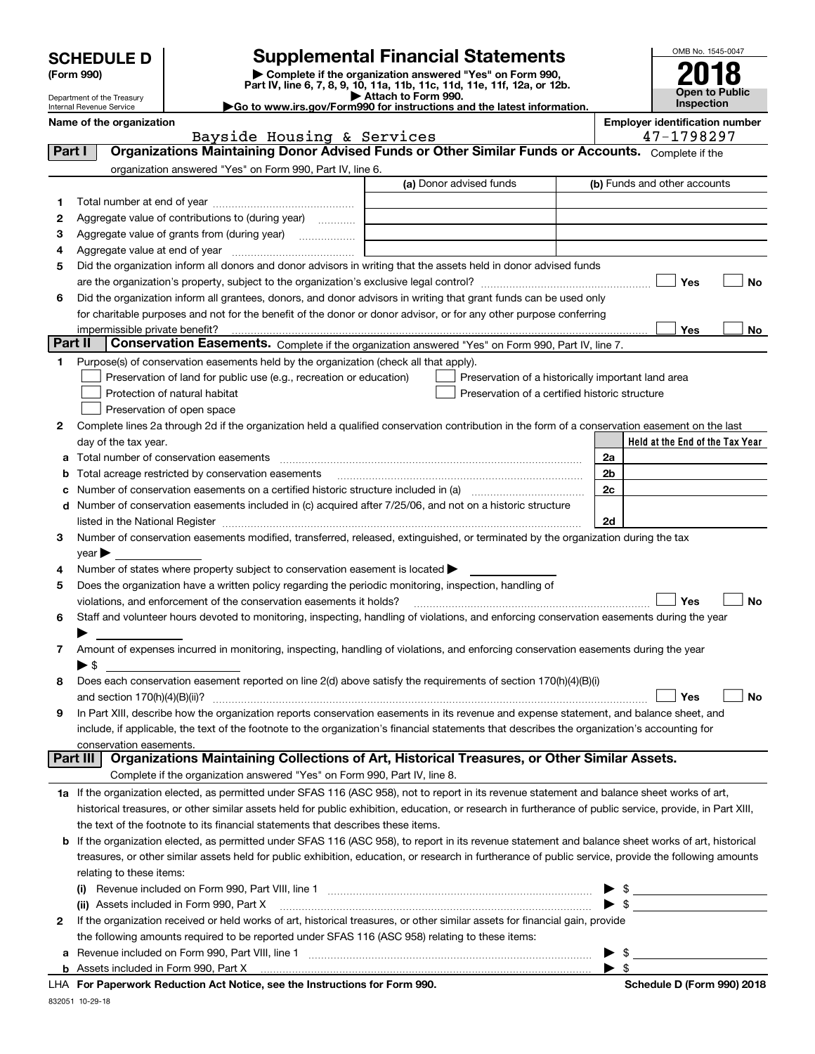| <b>SCHEDULE D</b> |  |
|-------------------|--|
|-------------------|--|

Department of the Treasury Internal Revenue Service

| (Form 990) |  |
|------------|--|
|------------|--|

# **Supplemental Financial Statements**

(Form 990)<br>
Pepartment of the Treasury<br>
Department of the Treasury<br>
Department of the Treasury<br>
Department of the Treasury<br> **Co to www.irs.gov/Form990 for instructions and the latest information.**<br> **Co to www.irs.gov/Form9** 

| OMB No. 1545-0047     |
|-----------------------|
| 201<br>o              |
| K O                   |
| <b>Open to Public</b> |
| Inspection            |

**No**

**No**

**No**

|        | Name of the organization                                                                                          |                         | <b>Employer identification number</b> |                              |  |  |
|--------|-------------------------------------------------------------------------------------------------------------------|-------------------------|---------------------------------------|------------------------------|--|--|
|        | Bayside Housing & Services                                                                                        |                         |                                       | 47-1798297                   |  |  |
| Part I | Organizations Maintaining Donor Advised Funds or Other Similar Funds or Accounts. Complete if the                 |                         |                                       |                              |  |  |
|        | organization answered "Yes" on Form 990, Part IV, line 6.                                                         |                         |                                       |                              |  |  |
|        |                                                                                                                   | (a) Donor advised funds |                                       | (b) Funds and other accounts |  |  |
|        | Total number at end of year                                                                                       |                         |                                       |                              |  |  |
| 2      | Aggregate value of contributions to (during year)<br>.                                                            |                         |                                       |                              |  |  |
| 3      | Aggregate value of grants from (during year)<br>.                                                                 |                         |                                       |                              |  |  |
| 4      | Aggregate value at end of year                                                                                    |                         |                                       |                              |  |  |
| 5.     | Did the organization inform all donors and donor advisors in writing that the assets held in donor advised funds  |                         |                                       |                              |  |  |
|        | Yes<br>are the organization's property, subject to the organization's exclusive legal control?<br>No              |                         |                                       |                              |  |  |
| 6      | Did the organization inform all grantees, donors, and donor advisors in writing that grant funds can be used only |                         |                                       |                              |  |  |

**Yes**impermissible private benefit? for charitable purposes and not for the benefit of the donor or donor advisor, or for any other purpose conferring

| <b>Conservation Easements.</b> Complete if the organization answered "Yes" on Form 990, Part IV, line 7.<br>Part II |  |  |                                                                           |                                                    |
|---------------------------------------------------------------------------------------------------------------------|--|--|---------------------------------------------------------------------------|----------------------------------------------------|
| Purpose(s) of conservation easements held by the organization (check all that apply).                               |  |  |                                                                           |                                                    |
|                                                                                                                     |  |  | $\Box$ Presenvation of land for public use (e.g. recreation or education) | Procentation of a historically important land area |

| $\vert$ Preservation of land for public use (e.g., recreation or education)                                                                      | Preservation of a historically important land area |
|--------------------------------------------------------------------------------------------------------------------------------------------------|----------------------------------------------------|
| Protection of natural habitat                                                                                                                    | Preservation of a certified historic structure     |
| Preservation of open space                                                                                                                       |                                                    |
| 2 Complete lines 2a through 2d if the organization held a qualified conservation contribution in the form of a conservation easement on the last |                                                    |

| day of the tax year.                                                                                                                        |                | Held at the End of the Tax Year |
|---------------------------------------------------------------------------------------------------------------------------------------------|----------------|---------------------------------|
| a Total number of conservation easements                                                                                                    | 2a             |                                 |
| <b>b</b> Total acreage restricted by conservation easements                                                                                 | 2 <sub>b</sub> |                                 |
| c Number of conservation easements on a certified historic structure included in (a) manufacture included in (a)                            | 2c             |                                 |
| d Number of conservation easements included in (c) acquired after 7/25/06, and not on a historic structure                                  |                |                                 |
| listed in the National Register [[11] manufacture in the National Register [11] manufacture in the National Register                        | 2d             |                                 |
| 3 Number of conservation easements modified, transferred, released, extinguished, or terminated by the organization during the tax          |                |                                 |
| $\vee$ ear $\blacktriangleright$                                                                                                            |                |                                 |
| 4 Number of states where property subject to conservation easement is located $\blacktriangleright$                                         |                |                                 |
| 5 Does the organization have a written policy regarding the periodic monitoring, inspection, handling of                                    |                |                                 |
|                                                                                                                                             |                | Nο<br>Yes                       |
| 6 Staff and volunteer hours devoted to monitoring, inspecting, handling of violations, and enforcing conservation easements during the year |                |                                 |
|                                                                                                                                             |                |                                 |

| Amount of expenses incurred in monitoring, inspecting, handling of violations, and enforcing conservation easements during the year |
|-------------------------------------------------------------------------------------------------------------------------------------|
|                                                                                                                                     |

| 8 | Does each conservation easement reported on line 2(d) above satisfy the requirements of section 170(h)(4)(B)(i) |  |  |
|---|-----------------------------------------------------------------------------------------------------------------|--|--|
|   |                                                                                                                 |  |  |

| 9 In Part XIII, describe how the organization reports conservation easements in its revenue and expense statement, and balance sheet, and    |
|----------------------------------------------------------------------------------------------------------------------------------------------|
| include, if applicable, the text of the footnote to the organization's financial statements that describes the organization's accounting for |
| conservation easements.                                                                                                                      |

# Complete if the organization answered "Yes" on Form 990, Part IV, line 8. **Part III Organizations Maintaining Collections of Art, Historical Treasures, or Other Similar Assets.**

| 1a If the organization elected, as permitted under SFAS 116 (ASC 958), not to report in its revenue statement and balance sheet works of art,             |
|-----------------------------------------------------------------------------------------------------------------------------------------------------------|
| historical treasures, or other similar assets held for public exhibition, education, or research in furtherance of public service, provide, in Part XIII, |
| the text of the footnote to its financial statements that describes these items.                                                                          |

| <b>b</b> If the organization elected, as permitted under SFAS 116 (ASC 958), to report in its revenue statement and balance sheet works of art, historical |
|------------------------------------------------------------------------------------------------------------------------------------------------------------|
| treasures, or other similar assets held for public exhibition, education, or research in furtherance of public service, provide the following amounts      |
| relating to these items:                                                                                                                                   |

| Revenue included on Form 990, Part VIII, line 1<br>(i)                                                                         |  |  |  |  |  |
|--------------------------------------------------------------------------------------------------------------------------------|--|--|--|--|--|
| (ii)                                                                                                                           |  |  |  |  |  |
| 2 If the organization received or held works of art, historical treasures, or other similar assets for financial gain, provide |  |  |  |  |  |
| the following amounts required to be reported under SFAS 116 (ASC 958) relating to these items:                                |  |  |  |  |  |
| a Revenue included on Form 990, Part VIII, line 1                                                                              |  |  |  |  |  |
| <b>b</b> Assets included in Form 990, Part X                                                                                   |  |  |  |  |  |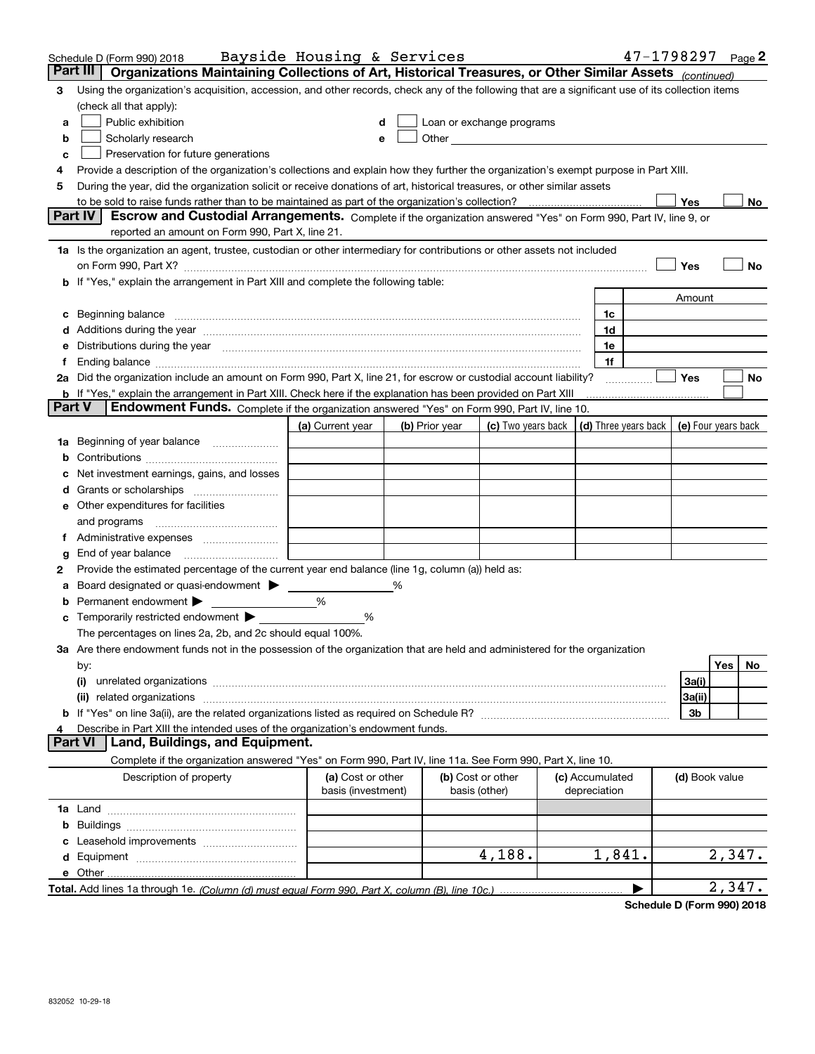|               | Schedule D (Form 990) 2018                                                                                                                                                                                                     | Bayside Housing & Services              |   |                |                                    |                                            | $47 - 1798297$ Page 2 |                |        |     |
|---------------|--------------------------------------------------------------------------------------------------------------------------------------------------------------------------------------------------------------------------------|-----------------------------------------|---|----------------|------------------------------------|--------------------------------------------|-----------------------|----------------|--------|-----|
| Part III      | Organizations Maintaining Collections of Art, Historical Treasures, or Other Similar Assets (continued)                                                                                                                        |                                         |   |                |                                    |                                            |                       |                |        |     |
| з             | Using the organization's acquisition, accession, and other records, check any of the following that are a significant use of its collection items                                                                              |                                         |   |                |                                    |                                            |                       |                |        |     |
|               | (check all that apply):                                                                                                                                                                                                        |                                         |   |                |                                    |                                            |                       |                |        |     |
| a             | Public exhibition                                                                                                                                                                                                              |                                         |   |                | Loan or exchange programs          |                                            |                       |                |        |     |
| b             | Scholarly research                                                                                                                                                                                                             |                                         |   |                |                                    |                                            |                       |                |        |     |
| c             | Preservation for future generations                                                                                                                                                                                            |                                         |   |                |                                    |                                            |                       |                |        |     |
|               | Provide a description of the organization's collections and explain how they further the organization's exempt purpose in Part XIII.                                                                                           |                                         |   |                |                                    |                                            |                       |                |        |     |
| 5             | During the year, did the organization solicit or receive donations of art, historical treasures, or other similar assets                                                                                                       |                                         |   |                |                                    |                                            |                       |                |        |     |
|               | to be sold to raise funds rather than to be maintained as part of the organization's collection?                                                                                                                               |                                         |   |                |                                    |                                            |                       | Yes            |        | No  |
|               | <b>Part IV</b><br>Escrow and Custodial Arrangements. Complete if the organization answered "Yes" on Form 990, Part IV, line 9, or                                                                                              |                                         |   |                |                                    |                                            |                       |                |        |     |
|               | reported an amount on Form 990, Part X, line 21.                                                                                                                                                                               |                                         |   |                |                                    |                                            |                       |                |        |     |
|               | 1a Is the organization an agent, trustee, custodian or other intermediary for contributions or other assets not included                                                                                                       |                                         |   |                |                                    |                                            |                       |                |        |     |
|               | on Form 990, Part X? [11] matter and the contract of the contract of the contract of the contract of the contract of the contract of the contract of the contract of the contract of the contract of the contract of the contr |                                         |   |                |                                    |                                            |                       | Yes            |        | No  |
|               | b If "Yes," explain the arrangement in Part XIII and complete the following table:                                                                                                                                             |                                         |   |                |                                    |                                            |                       |                |        |     |
|               |                                                                                                                                                                                                                                |                                         |   |                |                                    |                                            |                       | Amount         |        |     |
|               |                                                                                                                                                                                                                                |                                         |   |                |                                    | 1c                                         |                       |                |        |     |
|               |                                                                                                                                                                                                                                |                                         |   |                |                                    | 1d                                         |                       |                |        |     |
|               | Distributions during the year manufactured and continuum and contact the year manufactured and contact the year                                                                                                                |                                         |   |                |                                    | 1e                                         |                       |                |        |     |
|               |                                                                                                                                                                                                                                |                                         |   |                |                                    | 1f                                         |                       |                |        |     |
|               | 2a Did the organization include an amount on Form 990, Part X, line 21, for escrow or custodial account liability?                                                                                                             |                                         |   |                |                                    |                                            |                       | Yes            |        | No  |
| <b>Part V</b> | <b>b</b> If "Yes," explain the arrangement in Part XIII. Check here if the explanation has been provided on Part XIII                                                                                                          |                                         |   |                |                                    |                                            |                       |                |        |     |
|               | Endowment Funds. Complete if the organization answered "Yes" on Form 990, Part IV, line 10.                                                                                                                                    |                                         |   |                |                                    |                                            |                       |                |        |     |
|               |                                                                                                                                                                                                                                | (a) Current year                        |   | (b) Prior year | (c) Two years back                 | (d) Three years back   (e) Four years back |                       |                |        |     |
| 1a            | Beginning of year balance                                                                                                                                                                                                      |                                         |   |                |                                    |                                            |                       |                |        |     |
|               |                                                                                                                                                                                                                                |                                         |   |                |                                    |                                            |                       |                |        |     |
|               | Net investment earnings, gains, and losses                                                                                                                                                                                     |                                         |   |                |                                    |                                            |                       |                |        |     |
|               |                                                                                                                                                                                                                                |                                         |   |                |                                    |                                            |                       |                |        |     |
|               | e Other expenditures for facilities                                                                                                                                                                                            |                                         |   |                |                                    |                                            |                       |                |        |     |
|               | and programs                                                                                                                                                                                                                   |                                         |   |                |                                    |                                            |                       |                |        |     |
|               |                                                                                                                                                                                                                                |                                         |   |                |                                    |                                            |                       |                |        |     |
| g             | End of year balance<br>Provide the estimated percentage of the current year end balance (line 1g, column (a)) held as:                                                                                                         |                                         |   |                |                                    |                                            |                       |                |        |     |
| 2             |                                                                                                                                                                                                                                |                                         | % |                |                                    |                                            |                       |                |        |     |
| а             | Board designated or quasi-endowment<br>Permanent endowment $\blacktriangleright$                                                                                                                                               | %                                       |   |                |                                    |                                            |                       |                |        |     |
|               | Temporarily restricted endowment                                                                                                                                                                                               | %                                       |   |                |                                    |                                            |                       |                |        |     |
|               | The percentages on lines 2a, 2b, and 2c should equal 100%.                                                                                                                                                                     |                                         |   |                |                                    |                                            |                       |                |        |     |
|               | 3a Are there endowment funds not in the possession of the organization that are held and administered for the organization                                                                                                     |                                         |   |                |                                    |                                            |                       |                |        |     |
|               | by:                                                                                                                                                                                                                            |                                         |   |                |                                    |                                            |                       |                | Yes    | No. |
|               | (i)                                                                                                                                                                                                                            |                                         |   |                |                                    |                                            |                       | 3a(i)          |        |     |
|               | related organizations<br>(ii)                                                                                                                                                                                                  |                                         |   |                |                                    |                                            |                       | 3a(ii)         |        |     |
|               |                                                                                                                                                                                                                                |                                         |   |                |                                    |                                            |                       | 3b             |        |     |
|               | Describe in Part XIII the intended uses of the organization's endowment funds.                                                                                                                                                 |                                         |   |                |                                    |                                            |                       |                |        |     |
|               | <b>Part VI</b><br>Land, Buildings, and Equipment.                                                                                                                                                                              |                                         |   |                |                                    |                                            |                       |                |        |     |
|               | Complete if the organization answered "Yes" on Form 990, Part IV, line 11a. See Form 990, Part X, line 10.                                                                                                                     |                                         |   |                |                                    |                                            |                       |                |        |     |
|               | Description of property                                                                                                                                                                                                        | (a) Cost or other<br>basis (investment) |   |                | (b) Cost or other<br>basis (other) | (c) Accumulated<br>depreciation            |                       | (d) Book value |        |     |
|               |                                                                                                                                                                                                                                |                                         |   |                |                                    |                                            |                       |                |        |     |
|               |                                                                                                                                                                                                                                |                                         |   |                |                                    |                                            |                       |                |        |     |
|               |                                                                                                                                                                                                                                |                                         |   |                |                                    |                                            |                       |                |        |     |
|               |                                                                                                                                                                                                                                |                                         |   |                | 4,188.                             | 1,841.                                     |                       |                | 2,347. |     |
|               | e Other                                                                                                                                                                                                                        |                                         |   |                |                                    |                                            |                       |                |        |     |
|               |                                                                                                                                                                                                                                |                                         |   |                |                                    |                                            |                       |                | 2,347. |     |
|               |                                                                                                                                                                                                                                |                                         |   |                |                                    |                                            |                       |                |        |     |

**Schedule D (Form 990) 2018**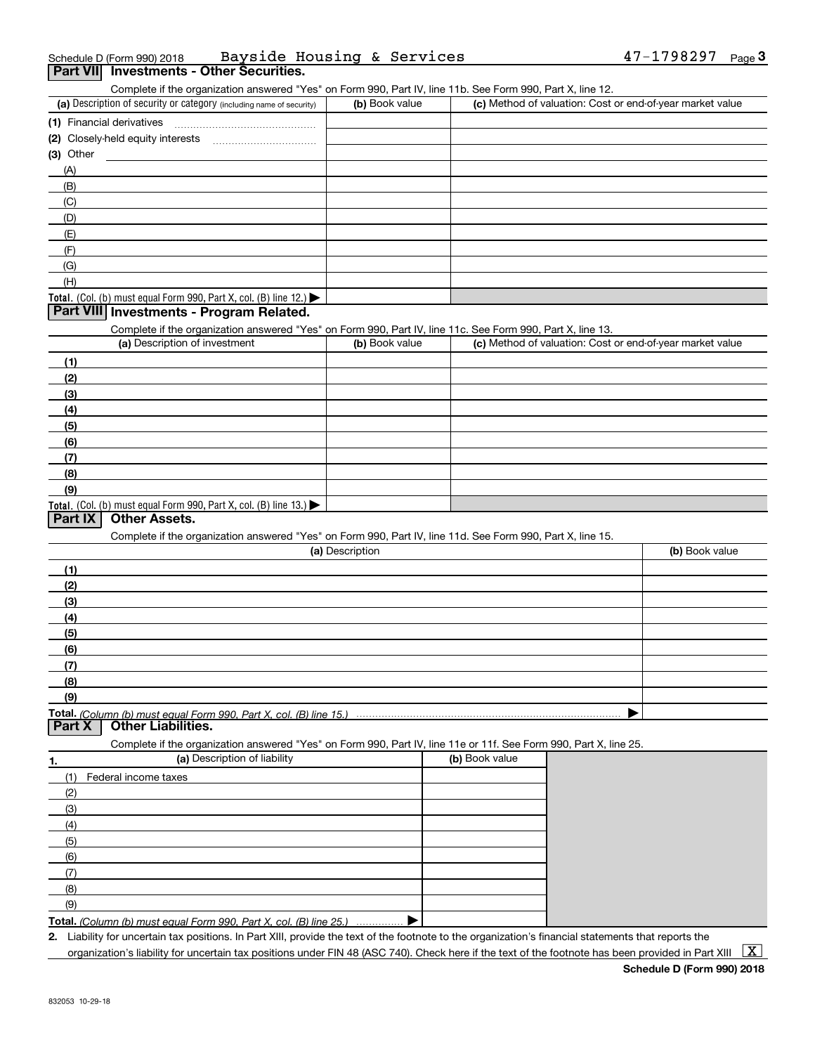| Schedule D (Form 990) 2018 |                                          | Bayside Housing & Services |  | $47 - 1798297$ Page |  |
|----------------------------|------------------------------------------|----------------------------|--|---------------------|--|
|                            | Part VII Investments - Other Securities. |                            |  |                     |  |

Complete if the organization answered "Yes" on Form 990, Part IV, line 11b. See Form 990, Part X, line 12.

| (a) Description of security or category (including name of security)                   | (b) Book value | (c) Method of valuation: Cost or end-of-year market value |
|----------------------------------------------------------------------------------------|----------------|-----------------------------------------------------------|
| (1) Financial derivatives                                                              |                |                                                           |
| (2) Closely-held equity interests                                                      |                |                                                           |
| (3) Other                                                                              |                |                                                           |
| (A)                                                                                    |                |                                                           |
| (B)                                                                                    |                |                                                           |
| (C)                                                                                    |                |                                                           |
| (D)                                                                                    |                |                                                           |
| (E)                                                                                    |                |                                                           |
| (F)                                                                                    |                |                                                           |
| (G)                                                                                    |                |                                                           |
| (H)                                                                                    |                |                                                           |
| Total. (Col. (b) must equal Form 990, Part X, col. (B) line 12.) $\blacktriangleright$ |                |                                                           |

#### **Part VIII Investments - Program Related.**

Complete if the organization answered "Yes" on Form 990, Part IV, line 11c. See Form 990, Part X, line 13.

| (a) Description of investment                                                          | (b) Book value | (c) Method of valuation: Cost or end-of-year market value |
|----------------------------------------------------------------------------------------|----------------|-----------------------------------------------------------|
| (1)                                                                                    |                |                                                           |
| (2)                                                                                    |                |                                                           |
| $\frac{1}{2}$                                                                          |                |                                                           |
| (4)                                                                                    |                |                                                           |
| $\frac{1}{2}$                                                                          |                |                                                           |
| (6)                                                                                    |                |                                                           |
| $\sqrt{(7)}$                                                                           |                |                                                           |
| (8)                                                                                    |                |                                                           |
| (9)                                                                                    |                |                                                           |
| Total. (Col. (b) must equal Form 990, Part X, col. (B) line 13.) $\blacktriangleright$ |                |                                                           |

#### **Part IX Other Assets.**

Complete if the organization answered "Yes" on Form 990, Part IV, line 11d. See Form 990, Part X, line 15.

| (a) Description | (b) Book value |
|-----------------|----------------|
| (1)             |                |
| (2)             |                |
| $\frac{1}{2}$   |                |
| (4)             |                |
| $\frac{1}{2}$   |                |
| (6)             |                |
| (7)             |                |
| (8)             |                |
| (9)             |                |
|                 |                |

**Part X Other Liabilities.**

Complete if the organization answered "Yes" on Form 990, Part IV, line 11e or 11f. See Form 990, Part X, line 25.

| 1.  | (a) Description of liability                                      | (b) Book value |
|-----|-------------------------------------------------------------------|----------------|
| (1) | Federal income taxes                                              |                |
| (2) |                                                                   |                |
| (3) |                                                                   |                |
| (4) |                                                                   |                |
| (5) |                                                                   |                |
| (6) |                                                                   |                |
| (7) |                                                                   |                |
| (8) |                                                                   |                |
| (9) |                                                                   |                |
|     | Total $(Column (b) must equal Form 000$ $Port X col (D) line 25)$ |                |

**Total.**  *(Column (b) must equal Form 990, Part X, col. (B) line 25.)* . . . . . . . . . . . . . . . …. ▶

**2.**Liability for uncertain tax positions. In Part XIII, provide the text of the footnote to the organization's financial statements that reports the organization's liability for uncertain tax positions under FIN 48 (ASC 740). Check here if the text of the footnote has been provided in Part XIII  $~\boxed{\rm X}$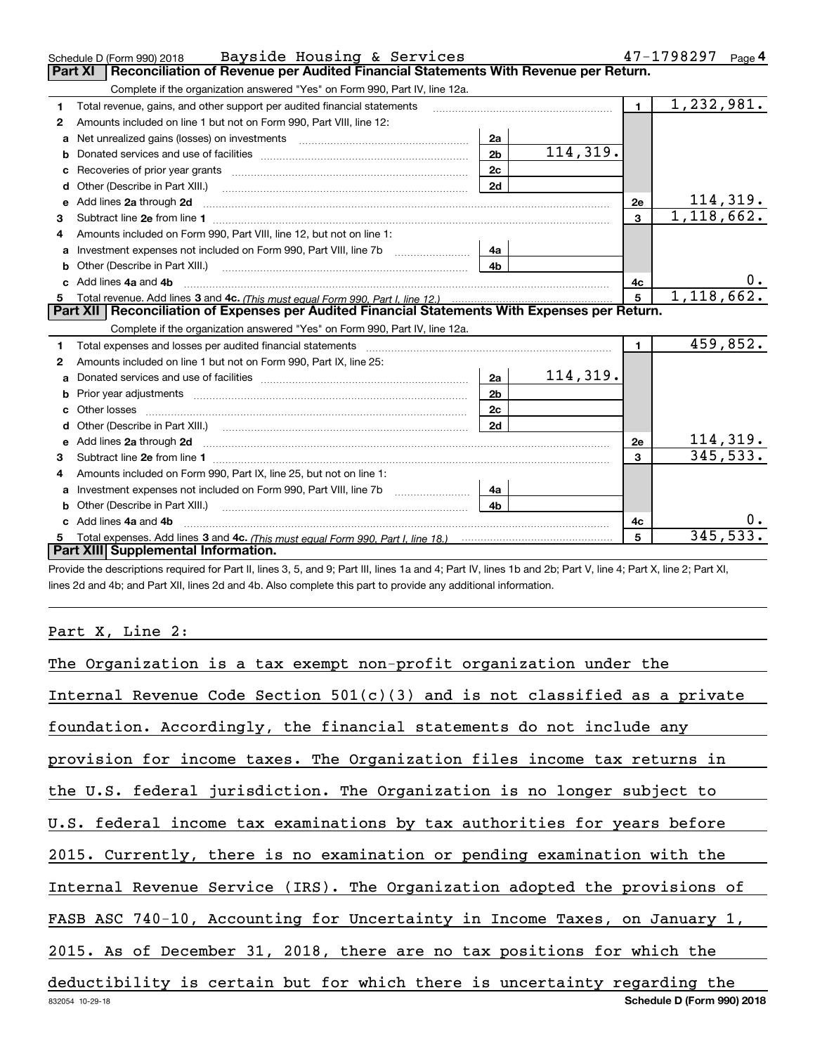|              | Schedule D (Form 990) 2018 Bayside Housing & Services                                                                                                                                                                               |                                                                                                                |          |              | 47-1798297<br>Page 4    |
|--------------|-------------------------------------------------------------------------------------------------------------------------------------------------------------------------------------------------------------------------------------|----------------------------------------------------------------------------------------------------------------|----------|--------------|-------------------------|
|              | <b>Part XI</b><br>Reconciliation of Revenue per Audited Financial Statements With Revenue per Return.                                                                                                                               |                                                                                                                |          |              |                         |
|              | Complete if the organization answered "Yes" on Form 990, Part IV, line 12a.                                                                                                                                                         |                                                                                                                |          |              |                         |
| 1            | Total revenue, gains, and other support per audited financial statements                                                                                                                                                            | and a complete the contract of the complete the complete the complete the complete the complete the complete t |          | $\mathbf{1}$ | $\overline{1,232},981.$ |
| 2            | Amounts included on line 1 but not on Form 990, Part VIII, line 12:                                                                                                                                                                 |                                                                                                                |          |              |                         |
| a            | Net unrealized gains (losses) on investments [11] [11] Net unrealized gains (losses) on investments                                                                                                                                 | 2a                                                                                                             |          |              |                         |
|              |                                                                                                                                                                                                                                     | 2 <sub>b</sub>                                                                                                 | 114,319. |              |                         |
|              |                                                                                                                                                                                                                                     | 2c                                                                                                             |          |              |                         |
| d            | Other (Describe in Part XIII.)                                                                                                                                                                                                      | 2d                                                                                                             |          |              |                         |
| е            | Add lines 2a through 2d                                                                                                                                                                                                             |                                                                                                                |          | <b>2e</b>    | 114,319.                |
| З.           |                                                                                                                                                                                                                                     |                                                                                                                |          | 3            | 1,118,662.              |
|              | Amounts included on Form 990. Part VIII. line 12, but not on line 1:                                                                                                                                                                |                                                                                                                |          |              |                         |
|              | Investment expenses not included on Form 990, Part VIII, line 7b [111] [11] Investment expenses not included on Form 990, Part VIII, line 7b                                                                                        | 4a                                                                                                             |          |              |                         |
| b            |                                                                                                                                                                                                                                     | 4 <sub>b</sub>                                                                                                 |          |              |                         |
|              | Add lines 4a and 4b                                                                                                                                                                                                                 |                                                                                                                |          | 4c           | υ.                      |
| 5            |                                                                                                                                                                                                                                     |                                                                                                                |          | 5            | 1,118,662.              |
|              |                                                                                                                                                                                                                                     |                                                                                                                |          |              |                         |
|              | Part XII   Reconciliation of Expenses per Audited Financial Statements With Expenses per Return.                                                                                                                                    |                                                                                                                |          |              |                         |
|              | Complete if the organization answered "Yes" on Form 990, Part IV, line 12a.                                                                                                                                                         |                                                                                                                |          |              |                         |
| 1            | Total expenses and losses per audited financial statements [11] [12] manuscription control in the statements [13] [13] and the statements [13] and the statements and the statements and the statements and the statements and      |                                                                                                                |          | $\mathbf{1}$ | 459,852.                |
| $\mathbf{2}$ | Amounts included on line 1 but not on Form 990, Part IX, line 25:                                                                                                                                                                   |                                                                                                                |          |              |                         |
| a            |                                                                                                                                                                                                                                     | 2a                                                                                                             | 114,319. |              |                         |
| b            |                                                                                                                                                                                                                                     | 2 <sub>b</sub>                                                                                                 |          |              |                         |
|              |                                                                                                                                                                                                                                     | 2c                                                                                                             |          |              |                         |
|              |                                                                                                                                                                                                                                     | 2d                                                                                                             |          |              |                         |
| e            |                                                                                                                                                                                                                                     |                                                                                                                |          | <b>2e</b>    | 114,319.                |
| 3            | Add lines 2a through 2d <b>contained a contained a contained a contained a</b> contained a contained a contained a contained a contained a contained a contained a contained a contained a contained a contained a contained a cont |                                                                                                                |          | 3            | 345, 533.               |
| 4            | Amounts included on Form 990, Part IX, line 25, but not on line 1:                                                                                                                                                                  |                                                                                                                |          |              |                         |
| a            |                                                                                                                                                                                                                                     | 4a                                                                                                             |          |              |                         |
| b            | Other (Describe in Part XIII.) <b>Construction Contract Construction</b> Chemical Construction Chemical Chemical Chemical Chemical Chemical Chemical Chemical Chemical Chemical Chemical Chemical Chemical Chemical Chemical Chemic | 4 <sub>b</sub>                                                                                                 |          |              |                         |
|              | Add lines 4a and 4b                                                                                                                                                                                                                 |                                                                                                                |          | 4c           |                         |
| 5            | Part XIII Supplemental Information.                                                                                                                                                                                                 |                                                                                                                |          | 5            | 345,533.                |

Provide the descriptions required for Part II, lines 3, 5, and 9; Part III, lines 1a and 4; Part IV, lines 1b and 2b; Part V, line 4; Part X, line 2; Part XI, lines 2d and 4b; and Part XII, lines 2d and 4b. Also complete this part to provide any additional information.

Part X, Line 2:

| The Organization is a tax exempt non-profit organization under the           |
|------------------------------------------------------------------------------|
| Internal Revenue Code Section $501(c)(3)$ and is not classified as a private |
| foundation. Accordingly, the financial statements do not include any         |
| provision for income taxes. The Organization files income tax returns in     |
| the U.S. federal jurisdiction. The Organization is no longer subject to      |
| U.S. federal income tax examinations by tax authorities for years before     |
| 2015. Currently, there is no examination or pending examination with the     |
| Internal Revenue Service (IRS). The Organization adopted the provisions of   |
| FASB ASC 740-10, Accounting for Uncertainty in Income Taxes, on January 1,   |
| 2015. As of December 31, 2018, there are no tax positions for which the      |
| deductibility is certain but for which there is uncertainty regarding the    |
| Schedule D (Form 990) 2018<br>832054 10-29-18                                |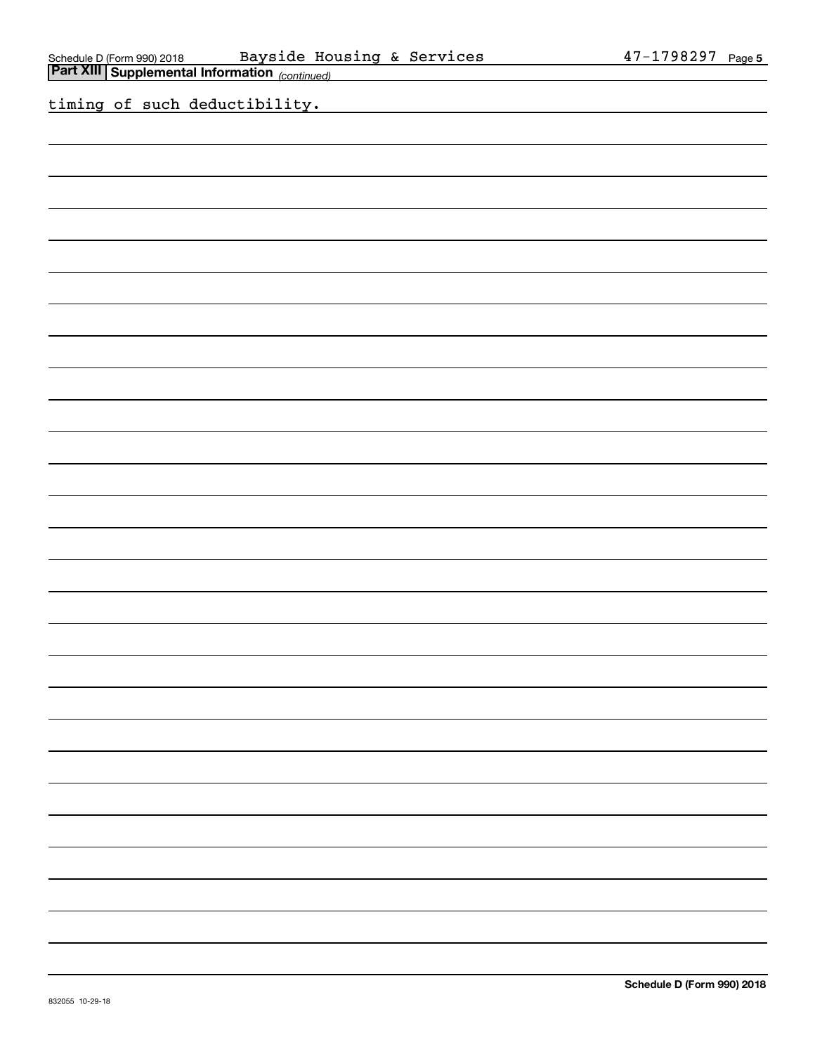$\overline{\phantom{0}}$ 

 $\overline{\phantom{0}}$ 

 $\overline{\phantom{0}}$ 

 $\overline{\phantom{a}}$ 

| Schedule D (Form 990) 2018   Bayside Housing & Services<br>Part XIII Supplemental Information <sub>(continued)</sub> | 47-1798297 Page 5 |
|----------------------------------------------------------------------------------------------------------------------|-------------------|
|                                                                                                                      |                   |
| timing of such deductibility.                                                                                        |                   |
|                                                                                                                      |                   |
|                                                                                                                      |                   |
|                                                                                                                      |                   |
|                                                                                                                      |                   |
|                                                                                                                      |                   |
|                                                                                                                      |                   |
|                                                                                                                      |                   |
|                                                                                                                      |                   |
|                                                                                                                      |                   |
|                                                                                                                      |                   |
|                                                                                                                      |                   |
|                                                                                                                      |                   |
|                                                                                                                      |                   |
|                                                                                                                      |                   |
|                                                                                                                      |                   |
|                                                                                                                      |                   |
|                                                                                                                      |                   |
|                                                                                                                      |                   |
|                                                                                                                      |                   |
|                                                                                                                      |                   |
|                                                                                                                      |                   |
|                                                                                                                      |                   |
|                                                                                                                      |                   |
|                                                                                                                      |                   |
|                                                                                                                      |                   |
|                                                                                                                      |                   |
|                                                                                                                      |                   |
|                                                                                                                      |                   |
|                                                                                                                      |                   |
|                                                                                                                      |                   |
|                                                                                                                      |                   |
|                                                                                                                      |                   |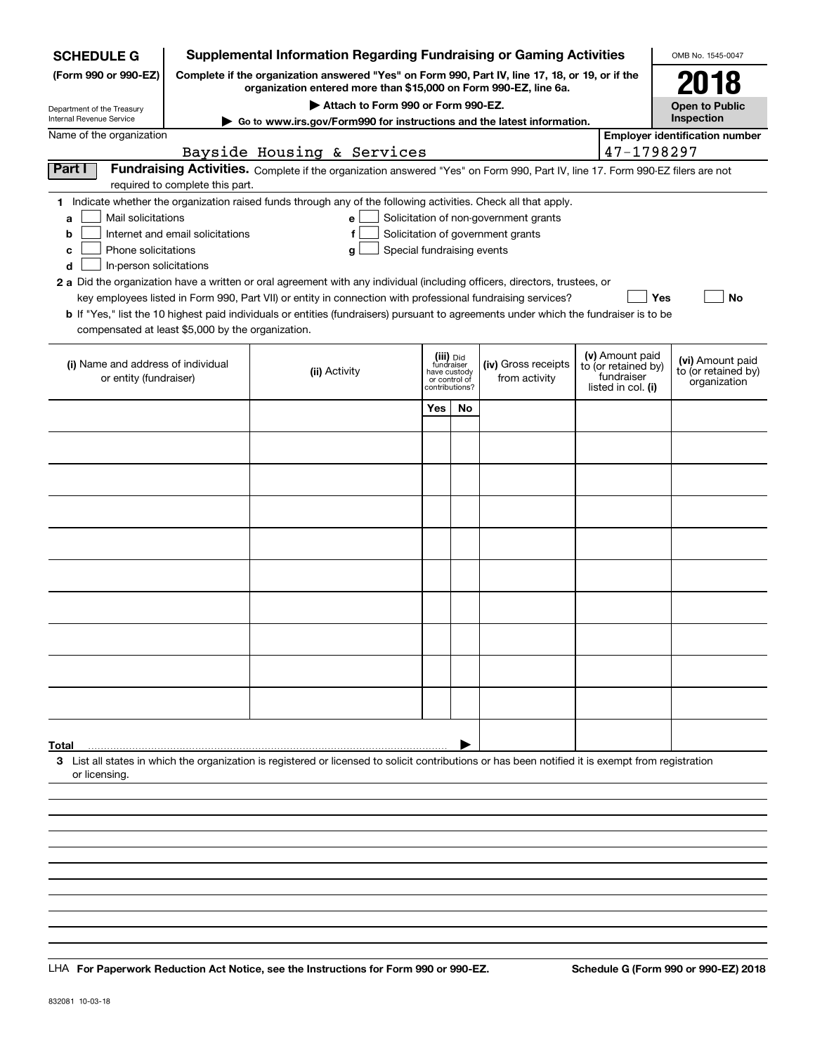| <b>SCHEDULE G</b>                                                                                                                                                          |                                  | <b>Supplemental Information Regarding Fundraising or Gaming Activities</b>                                                                                          |                            |                               |                                       |  |                                   | OMB No. 1545-0047                     |  |  |
|----------------------------------------------------------------------------------------------------------------------------------------------------------------------------|----------------------------------|---------------------------------------------------------------------------------------------------------------------------------------------------------------------|----------------------------|-------------------------------|---------------------------------------|--|-----------------------------------|---------------------------------------|--|--|
| (Form 990 or 990-EZ)                                                                                                                                                       |                                  | Complete if the organization answered "Yes" on Form 990, Part IV, line 17, 18, or 19, or if the<br>organization entered more than \$15,000 on Form 990-EZ, line 6a. |                            |                               |                                       |  |                                   | 2018                                  |  |  |
| Department of the Treasury                                                                                                                                                 |                                  | Attach to Form 990 or Form 990-EZ.                                                                                                                                  |                            |                               |                                       |  |                                   | <b>Open to Public</b>                 |  |  |
| Internal Revenue Service                                                                                                                                                   |                                  | Go to www.irs.gov/Form990 for instructions and the latest information.                                                                                              |                            |                               |                                       |  |                                   | Inspection                            |  |  |
| Name of the organization                                                                                                                                                   |                                  |                                                                                                                                                                     |                            |                               |                                       |  |                                   | <b>Employer identification number</b> |  |  |
|                                                                                                                                                                            |                                  | Bayside Housing & Services                                                                                                                                          |                            |                               |                                       |  | 47-1798297                        |                                       |  |  |
| Part I<br>Fundraising Activities. Complete if the organization answered "Yes" on Form 990, Part IV, line 17. Form 990-EZ filers are not<br>required to complete this part. |                                  |                                                                                                                                                                     |                            |                               |                                       |  |                                   |                                       |  |  |
|                                                                                                                                                                            |                                  | 1 Indicate whether the organization raised funds through any of the following activities. Check all that apply.                                                     |                            |                               |                                       |  |                                   |                                       |  |  |
| Mail solicitations<br>a                                                                                                                                                    |                                  | e                                                                                                                                                                   |                            |                               | Solicitation of non-government grants |  |                                   |                                       |  |  |
| b                                                                                                                                                                          | Internet and email solicitations | f                                                                                                                                                                   |                            |                               | Solicitation of government grants     |  |                                   |                                       |  |  |
| Phone solicitations<br>c                                                                                                                                                   |                                  | g                                                                                                                                                                   | Special fundraising events |                               |                                       |  |                                   |                                       |  |  |
| In-person solicitations<br>d                                                                                                                                               |                                  |                                                                                                                                                                     |                            |                               |                                       |  |                                   |                                       |  |  |
|                                                                                                                                                                            |                                  | 2 a Did the organization have a written or oral agreement with any individual (including officers, directors, trustees, or                                          |                            |                               |                                       |  |                                   |                                       |  |  |
|                                                                                                                                                                            |                                  | key employees listed in Form 990, Part VII) or entity in connection with professional fundraising services?                                                         |                            |                               |                                       |  |                                   | Yes<br>No                             |  |  |
|                                                                                                                                                                            |                                  | <b>b</b> If "Yes," list the 10 highest paid individuals or entities (fundraisers) pursuant to agreements under which the fundraiser is to be                        |                            |                               |                                       |  |                                   |                                       |  |  |
| compensated at least \$5,000 by the organization.                                                                                                                          |                                  |                                                                                                                                                                     |                            |                               |                                       |  |                                   |                                       |  |  |
|                                                                                                                                                                            |                                  |                                                                                                                                                                     |                            | (iii) Did<br>fundraiser       |                                       |  | (v) Amount paid                   | (vi) Amount paid                      |  |  |
| (i) Name and address of individual<br>or entity (fundraiser)                                                                                                               |                                  | (ii) Activity                                                                                                                                                       |                            | have custody<br>or control of | (iv) Gross receipts<br>from activity  |  | to (or retained by)<br>fundraiser | to (or retained by)                   |  |  |
|                                                                                                                                                                            |                                  |                                                                                                                                                                     |                            | contributions?                |                                       |  | listed in col. (i)                | organization                          |  |  |
|                                                                                                                                                                            |                                  |                                                                                                                                                                     | Yes                        | <b>No</b>                     |                                       |  |                                   |                                       |  |  |
|                                                                                                                                                                            |                                  |                                                                                                                                                                     |                            |                               |                                       |  |                                   |                                       |  |  |
|                                                                                                                                                                            |                                  |                                                                                                                                                                     |                            |                               |                                       |  |                                   |                                       |  |  |
|                                                                                                                                                                            |                                  |                                                                                                                                                                     |                            |                               |                                       |  |                                   |                                       |  |  |
|                                                                                                                                                                            |                                  |                                                                                                                                                                     |                            |                               |                                       |  |                                   |                                       |  |  |
|                                                                                                                                                                            |                                  |                                                                                                                                                                     |                            |                               |                                       |  |                                   |                                       |  |  |
|                                                                                                                                                                            |                                  |                                                                                                                                                                     |                            |                               |                                       |  |                                   |                                       |  |  |
|                                                                                                                                                                            |                                  |                                                                                                                                                                     |                            |                               |                                       |  |                                   |                                       |  |  |
|                                                                                                                                                                            |                                  |                                                                                                                                                                     |                            |                               |                                       |  |                                   |                                       |  |  |
|                                                                                                                                                                            |                                  |                                                                                                                                                                     |                            |                               |                                       |  |                                   |                                       |  |  |
|                                                                                                                                                                            |                                  |                                                                                                                                                                     |                            |                               |                                       |  |                                   |                                       |  |  |
|                                                                                                                                                                            |                                  |                                                                                                                                                                     |                            |                               |                                       |  |                                   |                                       |  |  |
|                                                                                                                                                                            |                                  |                                                                                                                                                                     |                            |                               |                                       |  |                                   |                                       |  |  |
|                                                                                                                                                                            |                                  |                                                                                                                                                                     |                            |                               |                                       |  |                                   |                                       |  |  |
|                                                                                                                                                                            |                                  |                                                                                                                                                                     |                            |                               |                                       |  |                                   |                                       |  |  |
|                                                                                                                                                                            |                                  |                                                                                                                                                                     |                            |                               |                                       |  |                                   |                                       |  |  |
|                                                                                                                                                                            |                                  |                                                                                                                                                                     |                            |                               |                                       |  |                                   |                                       |  |  |
|                                                                                                                                                                            |                                  |                                                                                                                                                                     |                            |                               |                                       |  |                                   |                                       |  |  |
|                                                                                                                                                                            |                                  |                                                                                                                                                                     |                            |                               |                                       |  |                                   |                                       |  |  |
| Total                                                                                                                                                                      |                                  |                                                                                                                                                                     |                            |                               |                                       |  |                                   |                                       |  |  |
| or licensing                                                                                                                                                               |                                  | 3 List all states in which the organization is registered or licensed to solicit contributions or has been notified it is exempt from registration                  |                            |                               |                                       |  |                                   |                                       |  |  |
|                                                                                                                                                                            |                                  |                                                                                                                                                                     |                            |                               |                                       |  |                                   |                                       |  |  |
|                                                                                                                                                                            |                                  |                                                                                                                                                                     |                            |                               |                                       |  |                                   |                                       |  |  |
|                                                                                                                                                                            |                                  |                                                                                                                                                                     |                            |                               |                                       |  |                                   |                                       |  |  |
|                                                                                                                                                                            |                                  |                                                                                                                                                                     |                            |                               |                                       |  |                                   |                                       |  |  |
|                                                                                                                                                                            |                                  |                                                                                                                                                                     |                            |                               |                                       |  |                                   |                                       |  |  |

LHA For Paperwork Reduction Act Notice, see the Instructions for Form 990 or 990-EZ. Schedule G (Form 990 or 990-EZ) 2018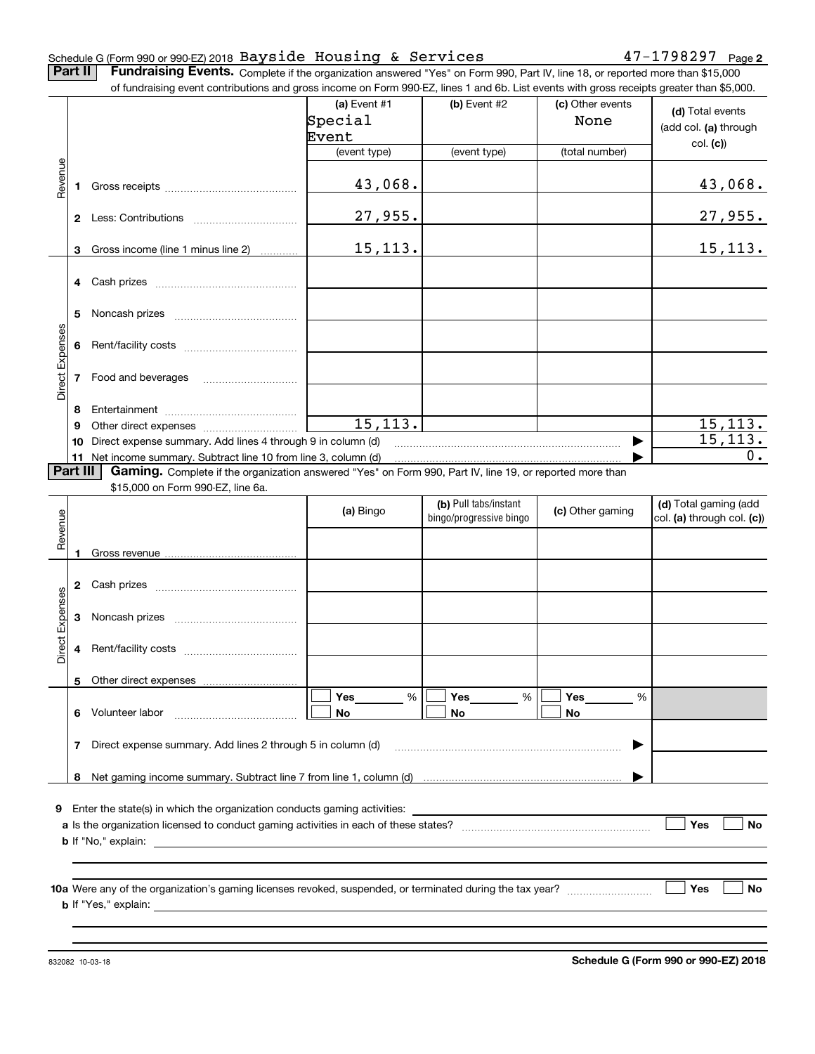#### Schedule G (Form 990 or 990-EZ) 2018  $\overline{\texttt{Bayside}}$   $\overline{\texttt{House}}$  &  $\overline{\texttt{Services}}$   $\overline{\texttt{47--1798297}}$   $\overline{\texttt{Page}}$

**2**

**Part II** | Fundraising Events. Complete if the organization answered "Yes" on Form 990, Part IV, line 18, or reported more than \$15,000 of fundraising event contributions and gross income on Form 990-EZ, lines 1 and 6b. List events with gross receipts greater than \$5,000.

|                 |          | .000.or rundraising event contributions and gross income on Form 990-EZ, lines 1 and 6b. List events with gross receipts greater than \$5,000. |                |                         |                  |                            |
|-----------------|----------|------------------------------------------------------------------------------------------------------------------------------------------------|----------------|-------------------------|------------------|----------------------------|
|                 |          |                                                                                                                                                | (a) Event $#1$ | $(b)$ Event #2          | (c) Other events | (d) Total events           |
|                 |          |                                                                                                                                                | Special        |                         | None             |                            |
|                 |          |                                                                                                                                                | Event          |                         |                  | (add col. (a) through      |
|                 |          |                                                                                                                                                | (event type)   | (event type)            | (total number)   | col. (c)                   |
|                 |          |                                                                                                                                                |                |                         |                  |                            |
| Revenue         |          |                                                                                                                                                |                |                         |                  |                            |
|                 |          |                                                                                                                                                | 43,068.        |                         |                  | 43,068.                    |
|                 |          |                                                                                                                                                |                |                         |                  |                            |
|                 |          |                                                                                                                                                | 27,955.        |                         |                  | 27,955.                    |
|                 |          |                                                                                                                                                |                |                         |                  |                            |
|                 | 3        | Gross income (line 1 minus line 2)                                                                                                             | 15,113.        |                         |                  | <u>15,113.</u>             |
|                 |          |                                                                                                                                                |                |                         |                  |                            |
|                 |          |                                                                                                                                                |                |                         |                  |                            |
|                 |          |                                                                                                                                                |                |                         |                  |                            |
|                 |          |                                                                                                                                                |                |                         |                  |                            |
|                 |          |                                                                                                                                                |                |                         |                  |                            |
| Direct Expenses |          |                                                                                                                                                |                |                         |                  |                            |
|                 |          |                                                                                                                                                |                |                         |                  |                            |
|                 |          |                                                                                                                                                |                |                         |                  |                            |
|                 |          | 7 Food and beverages                                                                                                                           |                |                         |                  |                            |
|                 |          |                                                                                                                                                |                |                         |                  |                            |
|                 | 8        |                                                                                                                                                |                |                         |                  |                            |
|                 | 9        |                                                                                                                                                | 15, 113.       |                         |                  | 15, 113.                   |
|                 |          | 10 Direct expense summary. Add lines 4 through 9 in column (d)                                                                                 |                |                         |                  | 15, 113.                   |
|                 |          | 11 Net income summary. Subtract line 10 from line 3, column (d)                                                                                |                |                         |                  | $0$ .                      |
|                 | Part III | Gaming. Complete if the organization answered "Yes" on Form 990, Part IV, line 19, or reported more than                                       |                |                         |                  |                            |
|                 |          | \$15,000 on Form 990-EZ, line 6a.                                                                                                              |                |                         |                  |                            |
|                 |          |                                                                                                                                                |                | (b) Pull tabs/instant   |                  | (d) Total gaming (add      |
|                 |          |                                                                                                                                                | (a) Bingo      | bingo/progressive bingo | (c) Other gaming | col. (a) through col. (c)) |
| Revenue         |          |                                                                                                                                                |                |                         |                  |                            |
|                 | 1        |                                                                                                                                                |                |                         |                  |                            |
|                 |          |                                                                                                                                                |                |                         |                  |                            |
|                 |          |                                                                                                                                                |                |                         |                  |                            |
|                 |          |                                                                                                                                                |                |                         |                  |                            |
| Direct Expenses |          |                                                                                                                                                |                |                         |                  |                            |
|                 |          |                                                                                                                                                |                |                         |                  |                            |
|                 |          |                                                                                                                                                |                |                         |                  |                            |
|                 |          |                                                                                                                                                |                |                         |                  |                            |
|                 |          |                                                                                                                                                |                |                         |                  |                            |
|                 |          |                                                                                                                                                |                |                         |                  |                            |
|                 |          | 5 Other direct expenses                                                                                                                        |                |                         |                  |                            |
|                 |          |                                                                                                                                                | $\%$<br>Yes    | %                       | Yes<br>%         |                            |
|                 | 6        |                                                                                                                                                |                | Yes                     |                  |                            |
|                 |          | Volunteer labor                                                                                                                                | No             | No                      | No               |                            |
|                 |          |                                                                                                                                                |                |                         |                  |                            |
|                 | 7        | Direct expense summary. Add lines 2 through 5 in column (d)                                                                                    |                |                         |                  |                            |
|                 |          |                                                                                                                                                |                |                         |                  |                            |
|                 | 8        |                                                                                                                                                |                |                         |                  |                            |
|                 |          |                                                                                                                                                |                |                         |                  |                            |
|                 |          | 9 Enter the state(s) in which the organization conducts gaming activities:                                                                     |                |                         |                  |                            |
|                 |          |                                                                                                                                                |                |                         |                  | Yes<br><b>No</b>           |
|                 |          | <b>b</b> If "No," explain:                                                                                                                     |                |                         |                  |                            |
|                 |          |                                                                                                                                                |                |                         |                  |                            |
|                 |          |                                                                                                                                                |                |                         |                  |                            |
|                 |          |                                                                                                                                                |                |                         |                  | Yes<br>No                  |
|                 |          | <b>b</b> If "Yes," explain:                                                                                                                    |                |                         |                  |                            |
|                 |          |                                                                                                                                                |                |                         |                  |                            |

832082 10-03-18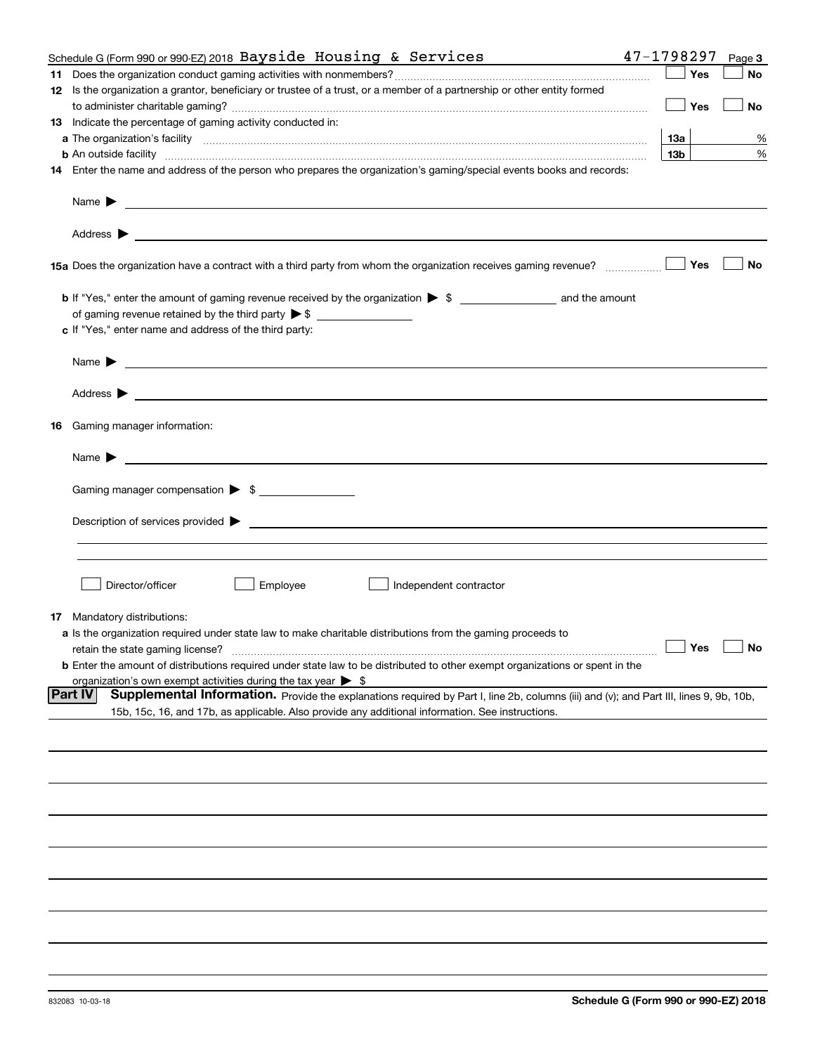| Schedule G (Form 990 or 990-EZ) 2018 Bayside Housing & Services                                                                                                                                                                           | 47-1798297      |     | Page 3               |
|-------------------------------------------------------------------------------------------------------------------------------------------------------------------------------------------------------------------------------------------|-----------------|-----|----------------------|
|                                                                                                                                                                                                                                           |                 | Yes | No                   |
| 12 Is the organization a grantor, beneficiary or trustee of a trust, or a member of a partnership or other entity formed                                                                                                                  |                 |     |                      |
|                                                                                                                                                                                                                                           |                 | Yes | No                   |
| 13 Indicate the percentage of gaming activity conducted in:                                                                                                                                                                               |                 |     |                      |
|                                                                                                                                                                                                                                           | 13а             |     | %                    |
| <b>b</b> An outside facility <i>www.communically.communically.communically.communically.communically.communically.communically.communically.communically.communically.communically.communically.communically.communically.communicall</i> | 13 <sub>b</sub> |     | %                    |
| 14 Enter the name and address of the person who prepares the organization's gaming/special events books and records:                                                                                                                      |                 |     |                      |
| Name $\blacktriangleright$<br><u> 1989 - Andrea Stadt Britain, amerikansk politik (</u>                                                                                                                                                   |                 |     |                      |
| Address $\blacktriangleright$<br><u> 1989 - Johann Harry Harry Harry Harry Harry Harry Harry Harry Harry Harry Harry Harry Harry Harry Harry Harry</u>                                                                                    |                 |     |                      |
|                                                                                                                                                                                                                                           |                 | Yes | No                   |
|                                                                                                                                                                                                                                           |                 |     |                      |
|                                                                                                                                                                                                                                           |                 |     |                      |
| c If "Yes," enter name and address of the third party:                                                                                                                                                                                    |                 |     |                      |
| Name $\blacktriangleright$<br><u> 1989 - Johann Stoff, amerikansk politiker (</u> † 1908)                                                                                                                                                 |                 |     |                      |
| Address $\blacktriangleright$<br><u> 1989 - Johann Stoff, amerikansk politiker (d. 1989)</u>                                                                                                                                              |                 |     |                      |
| <b>16</b> Gaming manager information:                                                                                                                                                                                                     |                 |     |                      |
| Name $\blacktriangleright$                                                                                                                                                                                                                |                 |     |                      |
|                                                                                                                                                                                                                                           |                 |     |                      |
| Gaming manager compensation > \$                                                                                                                                                                                                          |                 |     |                      |
| Description of services provided $\blacktriangleright$                                                                                                                                                                                    |                 |     |                      |
|                                                                                                                                                                                                                                           |                 |     |                      |
|                                                                                                                                                                                                                                           |                 |     |                      |
|                                                                                                                                                                                                                                           |                 |     |                      |
| Director/officer<br>Employee<br>Independent contractor                                                                                                                                                                                    |                 |     |                      |
| <b>17</b> Mandatory distributions:                                                                                                                                                                                                        |                 |     |                      |
| <b>a</b> Is the organization required under state law to make charitable distributions from the gaming proceeds to                                                                                                                        |                 |     |                      |
| retain the state gaming license?                                                                                                                                                                                                          |                 |     | $\Box$ Yes $\Box$ No |
| <b>b</b> Enter the amount of distributions required under state law to be distributed to other exempt organizations or spent in the                                                                                                       |                 |     |                      |
| organization's own exempt activities during the tax year $\triangleright$ \$                                                                                                                                                              |                 |     |                      |
| <b>Part IV</b><br>Supplemental Information. Provide the explanations required by Part I, line 2b, columns (iii) and (v); and Part III, lines 9, 9b, 10b,                                                                                  |                 |     |                      |
| 15b, 15c, 16, and 17b, as applicable. Also provide any additional information. See instructions.                                                                                                                                          |                 |     |                      |
|                                                                                                                                                                                                                                           |                 |     |                      |
|                                                                                                                                                                                                                                           |                 |     |                      |
|                                                                                                                                                                                                                                           |                 |     |                      |
|                                                                                                                                                                                                                                           |                 |     |                      |
|                                                                                                                                                                                                                                           |                 |     |                      |
|                                                                                                                                                                                                                                           |                 |     |                      |
|                                                                                                                                                                                                                                           |                 |     |                      |
|                                                                                                                                                                                                                                           |                 |     |                      |
|                                                                                                                                                                                                                                           |                 |     |                      |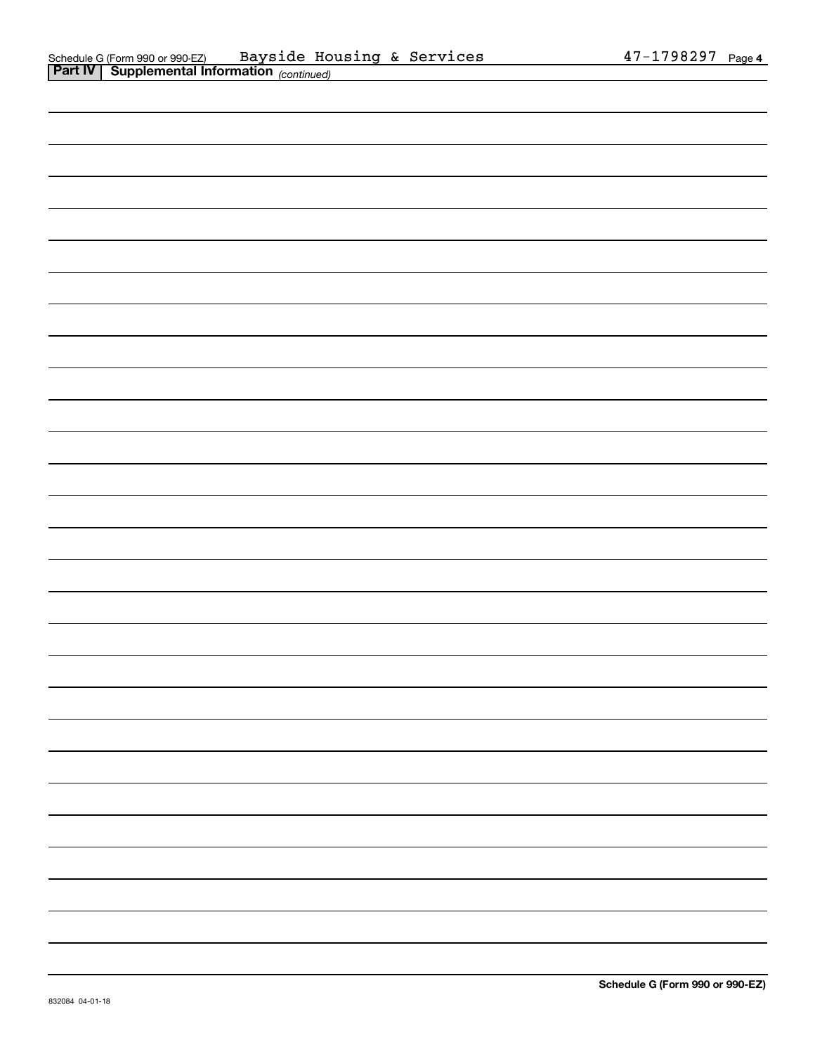| <u> 1989 - Andrea Andrewski, amerikansk politik (d. 1989)</u> |  |
|---------------------------------------------------------------|--|
|                                                               |  |
|                                                               |  |
|                                                               |  |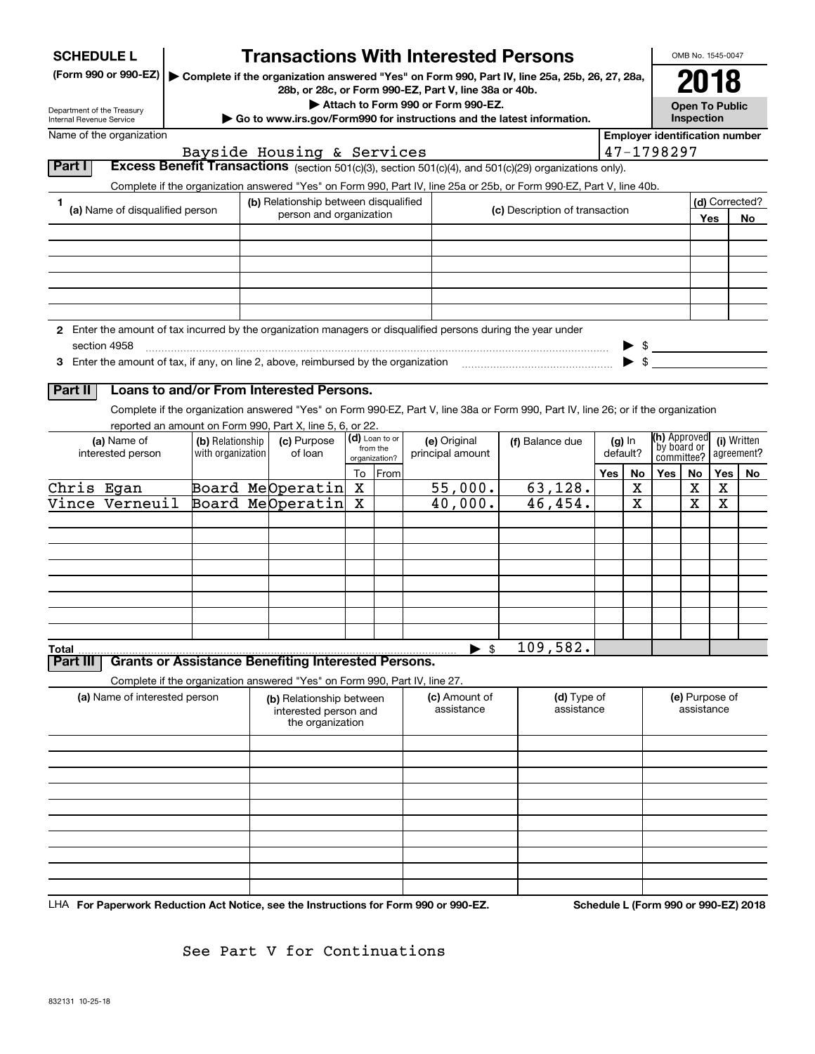| <b>SCHEDULE L</b><br>Department of the Treasury<br>Internal Revenue Service | (Form 990 or 990-EZ)                                                                                                          |                   | <b>Transactions With Interested Persons</b><br>28b, or 28c, or Form 990-EZ, Part V, line 38a or 40b. |        |                           | Attach to Form 990 or Form 990-EZ. | Complete if the organization answered "Yes" on Form 990, Part IV, line 25a, 25b, 26, 27, 28a,<br>Go to www.irs.gov/Form990 for instructions and the latest information. |                                                     |          |                           | OMB No. 1545-0047<br>2018<br><b>Open To Public</b><br>Inspection |        |                      |
|-----------------------------------------------------------------------------|-------------------------------------------------------------------------------------------------------------------------------|-------------------|------------------------------------------------------------------------------------------------------|--------|---------------------------|------------------------------------|-------------------------------------------------------------------------------------------------------------------------------------------------------------------------|-----------------------------------------------------|----------|---------------------------|------------------------------------------------------------------|--------|----------------------|
|                                                                             | Name of the organization                                                                                                      |                   |                                                                                                      |        |                           |                                    |                                                                                                                                                                         | <b>Employer identification number</b><br>47-1798297 |          |                           |                                                                  |        |                      |
| Part I                                                                      |                                                                                                                               |                   | Bayside Housing & Services                                                                           |        |                           |                                    | Excess Benefit Transactions (section 501(c)(3), section 501(c)(4), and 501(c)(29) organizations only).                                                                  |                                                     |          |                           |                                                                  |        |                      |
|                                                                             |                                                                                                                               |                   |                                                                                                      |        |                           |                                    | Complete if the organization answered "Yes" on Form 990, Part IV, line 25a or 25b, or Form 990-EZ, Part V, line 40b.                                                    |                                                     |          |                           |                                                                  |        |                      |
| 1                                                                           | (a) Name of disqualified person                                                                                               |                   | (b) Relationship between disqualified<br>person and organization                                     |        |                           | (c) Description of transaction     |                                                                                                                                                                         |                                                     |          | Yes                       |                                                                  |        | (d) Corrected?<br>No |
|                                                                             |                                                                                                                               |                   |                                                                                                      |        |                           |                                    |                                                                                                                                                                         |                                                     |          |                           |                                                                  |        |                      |
|                                                                             |                                                                                                                               |                   |                                                                                                      |        |                           |                                    |                                                                                                                                                                         |                                                     |          |                           |                                                                  |        |                      |
|                                                                             |                                                                                                                               |                   |                                                                                                      |        |                           |                                    |                                                                                                                                                                         |                                                     |          |                           |                                                                  |        |                      |
|                                                                             |                                                                                                                               |                   |                                                                                                      |        |                           |                                    |                                                                                                                                                                         |                                                     |          |                           |                                                                  |        |                      |
|                                                                             |                                                                                                                               |                   |                                                                                                      |        |                           |                                    |                                                                                                                                                                         |                                                     |          |                           |                                                                  |        |                      |
|                                                                             | 2 Enter the amount of tax incurred by the organization managers or disqualified persons during the year under<br>section 4958 |                   |                                                                                                      |        |                           |                                    |                                                                                                                                                                         |                                                     |          | $\triangleright$ \$       |                                                                  |        |                      |
|                                                                             |                                                                                                                               |                   |                                                                                                      |        |                           |                                    | 3 Enter the amount of tax, if any, on line 2, above, reimbursed by the organization match match and the organization                                                    |                                                     |          | $\blacktriangleright$ \$  |                                                                  |        |                      |
|                                                                             |                                                                                                                               |                   |                                                                                                      |        |                           |                                    |                                                                                                                                                                         |                                                     |          |                           |                                                                  |        |                      |
| Part II                                                                     |                                                                                                                               |                   | Loans to and/or From Interested Persons.                                                             |        |                           |                                    |                                                                                                                                                                         |                                                     |          |                           |                                                                  |        |                      |
|                                                                             | reported an amount on Form 990, Part X, line 5, 6, or 22.                                                                     |                   |                                                                                                      |        |                           |                                    | Complete if the organization answered "Yes" on Form 990-EZ, Part V, line 38a or Form 990, Part IV, line 26; or if the organization                                      |                                                     |          |                           |                                                                  |        |                      |
|                                                                             | (a) Name of                                                                                                                   | (b) Relationship  | (c) Purpose                                                                                          |        | (d) Loan to or            | (e) Original                       | (f) Balance due                                                                                                                                                         |                                                     | $(g)$ In | (h) Approved              |                                                                  |        | (i) Written          |
|                                                                             | interested person                                                                                                             | with organization | of loan                                                                                              |        | from the<br>organization? | principal amount                   |                                                                                                                                                                         |                                                     | default? | by board or<br>committee? |                                                                  |        | agreement?           |
|                                                                             |                                                                                                                               |                   |                                                                                                      | To     | From                      |                                    |                                                                                                                                                                         | <b>Yes</b>                                          | No       | Yes                       | No                                                               | Yes    | No                   |
| Chris Egan                                                                  | Vince Verneuil                                                                                                                |                   | Board MeOperatin<br>Board MeOperatin                                                                 | x<br>Χ |                           | 55,000.<br>40,000.                 | 63, 128.<br>46,454.                                                                                                                                                     |                                                     | x<br>X   |                           | х<br>X                                                           | х<br>X |                      |
|                                                                             |                                                                                                                               |                   |                                                                                                      |        |                           |                                    |                                                                                                                                                                         |                                                     |          |                           |                                                                  |        |                      |
|                                                                             |                                                                                                                               |                   |                                                                                                      |        |                           |                                    |                                                                                                                                                                         |                                                     |          |                           |                                                                  |        |                      |
|                                                                             |                                                                                                                               |                   |                                                                                                      |        |                           |                                    |                                                                                                                                                                         |                                                     |          |                           |                                                                  |        |                      |
|                                                                             |                                                                                                                               |                   |                                                                                                      |        |                           |                                    |                                                                                                                                                                         |                                                     |          |                           |                                                                  |        |                      |
|                                                                             |                                                                                                                               |                   |                                                                                                      |        |                           |                                    |                                                                                                                                                                         |                                                     |          |                           |                                                                  |        |                      |
|                                                                             |                                                                                                                               |                   |                                                                                                      |        |                           |                                    |                                                                                                                                                                         |                                                     |          |                           |                                                                  |        |                      |
|                                                                             |                                                                                                                               |                   |                                                                                                      |        |                           |                                    |                                                                                                                                                                         |                                                     |          |                           |                                                                  |        |                      |
| Total                                                                       |                                                                                                                               |                   |                                                                                                      |        |                           | \$                                 | 109,582.                                                                                                                                                                |                                                     |          |                           |                                                                  |        |                      |
| Part III                                                                    | <b>Grants or Assistance Benefiting Interested Persons.</b>                                                                    |                   |                                                                                                      |        |                           |                                    |                                                                                                                                                                         |                                                     |          |                           |                                                                  |        |                      |
|                                                                             | Complete if the organization answered "Yes" on Form 990, Part IV, line 27.                                                    |                   |                                                                                                      |        |                           |                                    |                                                                                                                                                                         |                                                     |          |                           |                                                                  |        |                      |
|                                                                             | (a) Name of interested person                                                                                                 |                   | (b) Relationship between<br>interested person and<br>the organization                                |        |                           | (c) Amount of<br>assistance        | (d) Type of<br>assistance                                                                                                                                               |                                                     |          |                           | (e) Purpose of<br>assistance                                     |        |                      |
|                                                                             |                                                                                                                               |                   |                                                                                                      |        |                           |                                    |                                                                                                                                                                         |                                                     |          |                           |                                                                  |        |                      |
|                                                                             |                                                                                                                               |                   |                                                                                                      |        |                           |                                    |                                                                                                                                                                         |                                                     |          |                           |                                                                  |        |                      |
|                                                                             |                                                                                                                               |                   |                                                                                                      |        |                           |                                    |                                                                                                                                                                         |                                                     |          |                           |                                                                  |        |                      |
|                                                                             |                                                                                                                               |                   |                                                                                                      |        |                           |                                    |                                                                                                                                                                         |                                                     |          |                           |                                                                  |        |                      |
|                                                                             |                                                                                                                               |                   |                                                                                                      |        |                           |                                    |                                                                                                                                                                         |                                                     |          |                           |                                                                  |        |                      |
|                                                                             |                                                                                                                               |                   |                                                                                                      |        |                           |                                    |                                                                                                                                                                         |                                                     |          |                           |                                                                  |        |                      |
|                                                                             |                                                                                                                               |                   |                                                                                                      |        |                           |                                    |                                                                                                                                                                         |                                                     |          |                           |                                                                  |        |                      |
|                                                                             |                                                                                                                               |                   |                                                                                                      |        |                           |                                    |                                                                                                                                                                         |                                                     |          |                           |                                                                  |        |                      |
|                                                                             |                                                                                                                               |                   |                                                                                                      |        |                           |                                    |                                                                                                                                                                         |                                                     |          |                           |                                                                  |        |                      |

LHA For Paperwork Reduction Act Notice, see the Instructions for Form 990 or 990-EZ. Schedule L (Form 990 or 990-EZ) 2018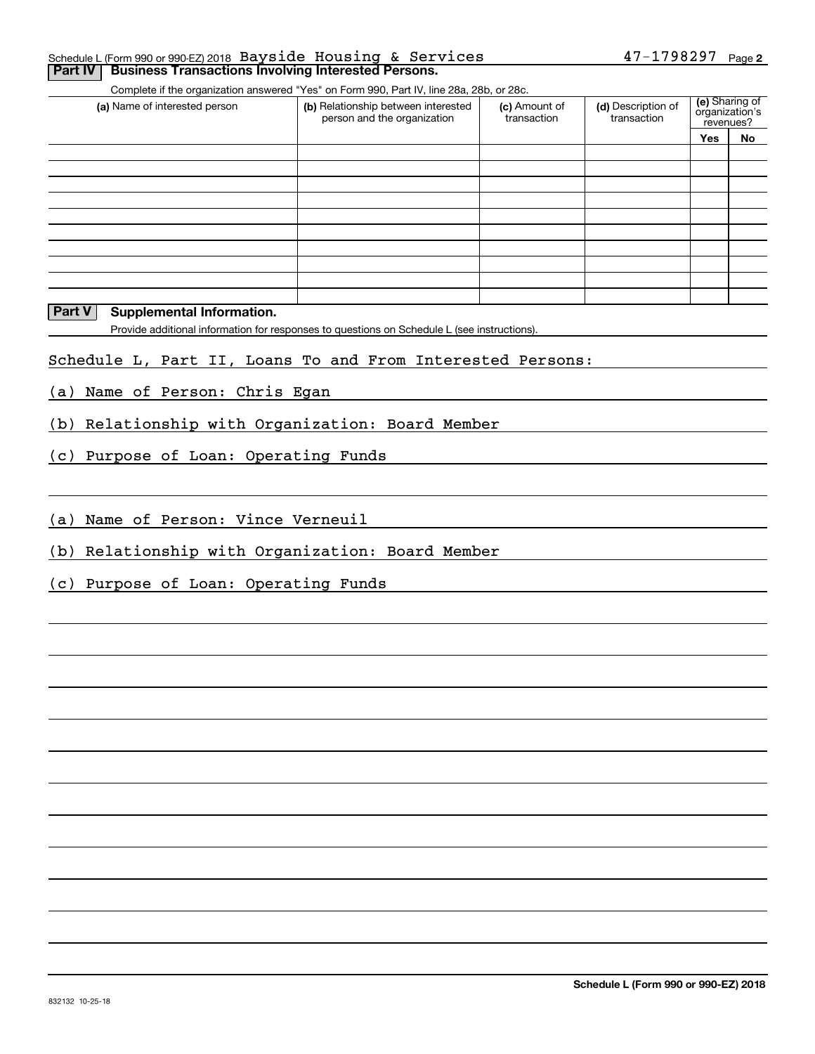#### **2** Schedule L (Form 990 or 990-EZ) 2018 Page 47-1798297 Bayside Housing & Services**Part IV** Business Transactions Involving Interested Persons.

Complete if the organization answered "Yes" on Form 990, Part IV, line 28a, 28b, or 28c.

| (a) Name of interested person | (b) Relationship between interested<br>person and the organization | (d) Description of<br>(c) Amount of<br>transaction<br>transaction |  | (e) Sharing of<br>organization's<br>revenues? |    |
|-------------------------------|--------------------------------------------------------------------|-------------------------------------------------------------------|--|-----------------------------------------------|----|
|                               |                                                                    |                                                                   |  | <b>Yes</b>                                    | No |
|                               |                                                                    |                                                                   |  |                                               |    |
|                               |                                                                    |                                                                   |  |                                               |    |
|                               |                                                                    |                                                                   |  |                                               |    |
|                               |                                                                    |                                                                   |  |                                               |    |
|                               |                                                                    |                                                                   |  |                                               |    |
|                               |                                                                    |                                                                   |  |                                               |    |
|                               |                                                                    |                                                                   |  |                                               |    |
|                               |                                                                    |                                                                   |  |                                               |    |
|                               |                                                                    |                                                                   |  |                                               |    |
|                               |                                                                    |                                                                   |  |                                               |    |

#### **Part V** Supplemental Information.

Provide additional information for responses to questions on Schedule L (see instructions).

#### Schedule L, Part II, Loans To and From Interested Persons:

(a) Name of Person: Chris Egan

(b) Relationship with Organization: Board Member

(c) Purpose of Loan: Operating Funds

(a) Name of Person: Vince Verneuil

(b) Relationship with Organization: Board Member

(c) Purpose of Loan: Operating Funds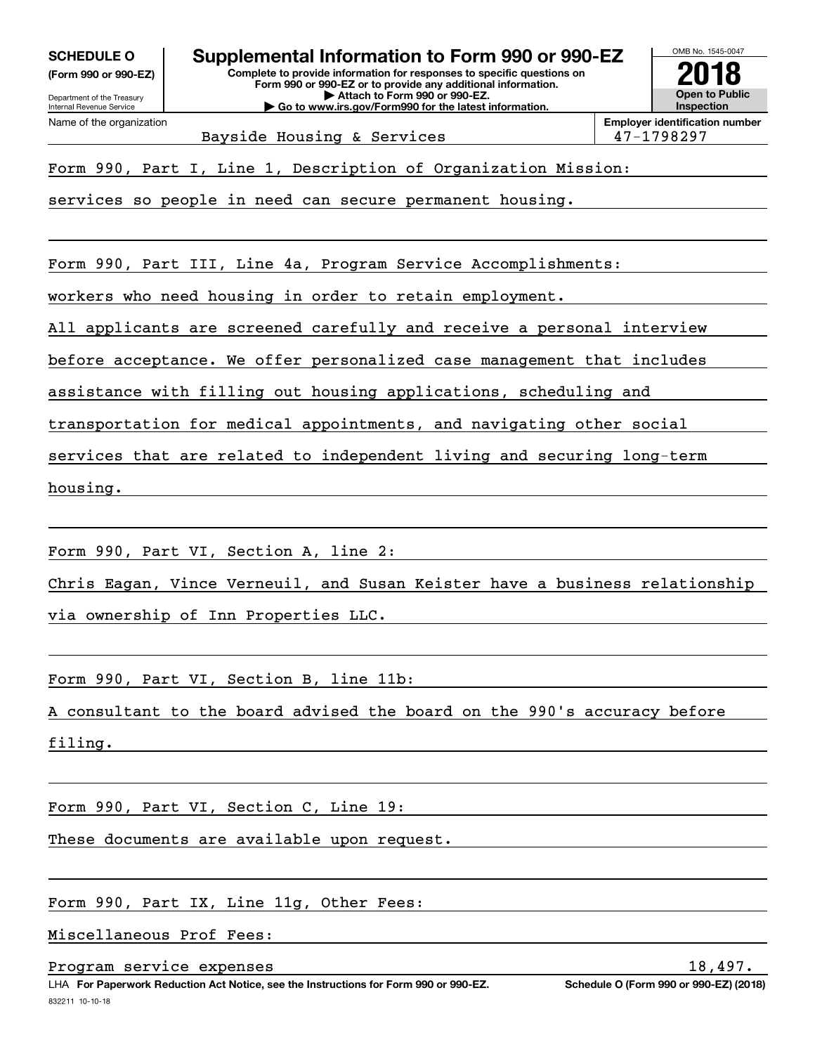**(Form 990 or 990-EZ)**

Department of the Treasury Internal Revenue Service Name of the organization

OMB No. 1545-0047 **Complete to provide information for responses to specific questions on SCHEDULE O Supplemental Information to Form 990 or 990-EZ**

**Form 990 or 990-EZ or to provide any additional information. | Attach to Form 990 or 990-EZ. | Go to www.irs.gov/Form990 for the latest information.**



Bayside Housing & Services 198297

Form 990, Part I, Line 1, Description of Organization Mission:

services so people in need can secure permanent housing.

Form 990, Part III, Line 4a, Program Service Accomplishments:

workers who need housing in order to retain employment.

All applicants are screened carefully and receive a personal interview

before acceptance. We offer personalized case management that includes

assistance with filling out housing applications, scheduling and

transportation for medical appointments, and navigating other social

services that are related to independent living and securing long-term

housing.

Form 990, Part VI, Section A, line 2:

Chris Eagan, Vince Verneuil, and Susan Keister have a business relationship

via ownership of Inn Properties LLC.

Form 990, Part VI, Section B, line 11b:

A consultant to the board advised the board on the 990's accuracy before

filing.

Form 990, Part VI, Section C, Line 19:

These documents are available upon request.

Form 990, Part IX, Line 11g, Other Fees:

Miscellaneous Prof Fees:

Program service expenses and the service expenses of  $18,497$ .